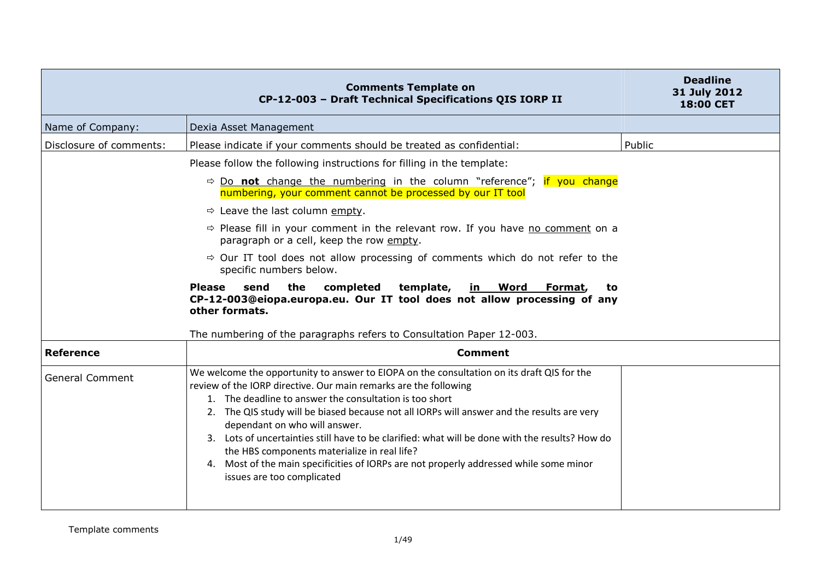|                         | <b>Comments Template on</b><br>CP-12-003 - Draft Technical Specifications QIS IORP II                                                                                                                                                                                                                                                                                                                                                                                                                                                                                                                                               | <b>Deadline</b><br>31 July 2012<br><b>18:00 CET</b> |
|-------------------------|-------------------------------------------------------------------------------------------------------------------------------------------------------------------------------------------------------------------------------------------------------------------------------------------------------------------------------------------------------------------------------------------------------------------------------------------------------------------------------------------------------------------------------------------------------------------------------------------------------------------------------------|-----------------------------------------------------|
| Name of Company:        | Dexia Asset Management                                                                                                                                                                                                                                                                                                                                                                                                                                                                                                                                                                                                              |                                                     |
| Disclosure of comments: | Please indicate if your comments should be treated as confidential:                                                                                                                                                                                                                                                                                                                                                                                                                                                                                                                                                                 | Public                                              |
|                         | Please follow the following instructions for filling in the template:                                                                                                                                                                                                                                                                                                                                                                                                                                                                                                                                                               |                                                     |
|                         | $\Rightarrow$ Do not change the numbering in the column "reference"; if you change<br>numbering, your comment cannot be processed by our IT tool                                                                                                                                                                                                                                                                                                                                                                                                                                                                                    |                                                     |
|                         | $\Rightarrow$ Leave the last column empty.                                                                                                                                                                                                                                                                                                                                                                                                                                                                                                                                                                                          |                                                     |
|                         | $\Rightarrow$ Please fill in your comment in the relevant row. If you have no comment on a<br>paragraph or a cell, keep the row empty.                                                                                                                                                                                                                                                                                                                                                                                                                                                                                              |                                                     |
|                         | $\Rightarrow$ Our IT tool does not allow processing of comments which do not refer to the<br>specific numbers below.                                                                                                                                                                                                                                                                                                                                                                                                                                                                                                                |                                                     |
|                         | the<br><b>Please</b><br>send<br>completed<br>template,<br><u>in Word</u><br>Format,<br>to<br>CP-12-003@eiopa.europa.eu. Our IT tool does not allow processing of any<br>other formats.                                                                                                                                                                                                                                                                                                                                                                                                                                              |                                                     |
|                         | The numbering of the paragraphs refers to Consultation Paper 12-003.                                                                                                                                                                                                                                                                                                                                                                                                                                                                                                                                                                |                                                     |
| <b>Reference</b>        | <b>Comment</b>                                                                                                                                                                                                                                                                                                                                                                                                                                                                                                                                                                                                                      |                                                     |
| <b>General Comment</b>  | We welcome the opportunity to answer to EIOPA on the consultation on its draft QIS for the<br>review of the IORP directive. Our main remarks are the following<br>1. The deadline to answer the consultation is too short<br>2. The QIS study will be biased because not all IORPs will answer and the results are very<br>dependant on who will answer.<br>3. Lots of uncertainties still have to be clarified: what will be done with the results? How do<br>the HBS components materialize in real life?<br>4. Most of the main specificities of IORPs are not properly addressed while some minor<br>issues are too complicated |                                                     |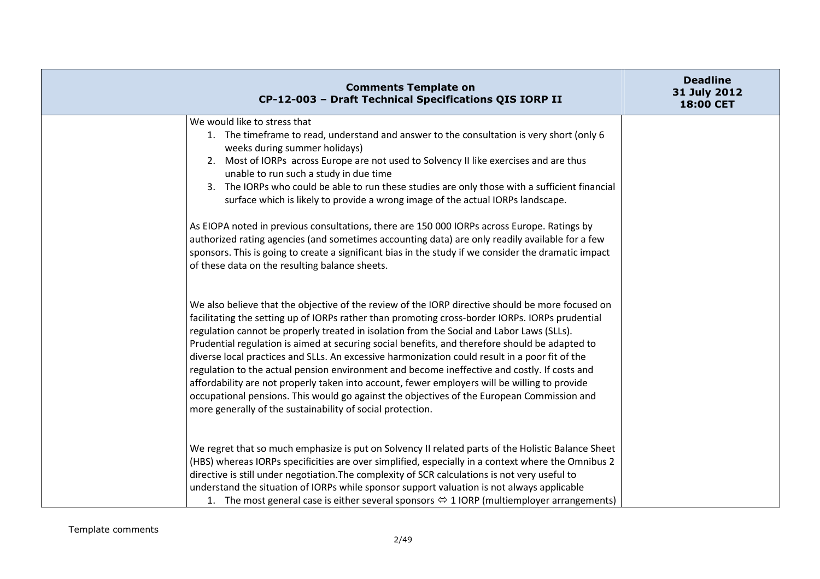| <b>Comments Template on</b><br>CP-12-003 - Draft Technical Specifications QIS IORP II                                                                                                                                                                                                                                                                                                                                                                                                                                                                                                                                                                                                                                                                                                                                                                             | <b>Deadline</b><br>31 July 2012<br>18:00 CET |
|-------------------------------------------------------------------------------------------------------------------------------------------------------------------------------------------------------------------------------------------------------------------------------------------------------------------------------------------------------------------------------------------------------------------------------------------------------------------------------------------------------------------------------------------------------------------------------------------------------------------------------------------------------------------------------------------------------------------------------------------------------------------------------------------------------------------------------------------------------------------|----------------------------------------------|
| We would like to stress that<br>1. The timeframe to read, understand and answer to the consultation is very short (only 6<br>weeks during summer holidays)<br>2. Most of IORPs across Europe are not used to Solvency II like exercises and are thus<br>unable to run such a study in due time<br>3. The IORPs who could be able to run these studies are only those with a sufficient financial<br>surface which is likely to provide a wrong image of the actual IORPs landscape.<br>As EIOPA noted in previous consultations, there are 150 000 IORPs across Europe. Ratings by<br>authorized rating agencies (and sometimes accounting data) are only readily available for a few<br>sponsors. This is going to create a significant bias in the study if we consider the dramatic impact<br>of these data on the resulting balance sheets.                   |                                              |
| We also believe that the objective of the review of the IORP directive should be more focused on<br>facilitating the setting up of IORPs rather than promoting cross-border IORPs. IORPs prudential<br>regulation cannot be properly treated in isolation from the Social and Labor Laws (SLLs).<br>Prudential regulation is aimed at securing social benefits, and therefore should be adapted to<br>diverse local practices and SLLs. An excessive harmonization could result in a poor fit of the<br>regulation to the actual pension environment and become ineffective and costly. If costs and<br>affordability are not properly taken into account, fewer employers will be willing to provide<br>occupational pensions. This would go against the objectives of the European Commission and<br>more generally of the sustainability of social protection. |                                              |
| We regret that so much emphasize is put on Solvency II related parts of the Holistic Balance Sheet<br>(HBS) whereas IORPs specificities are over simplified, especially in a context where the Omnibus 2<br>directive is still under negotiation. The complexity of SCR calculations is not very useful to<br>understand the situation of IORPs while sponsor support valuation is not always applicable<br>1. The most general case is either several sponsors $\Leftrightarrow$ 1 IORP (multiemployer arrangements)                                                                                                                                                                                                                                                                                                                                             |                                              |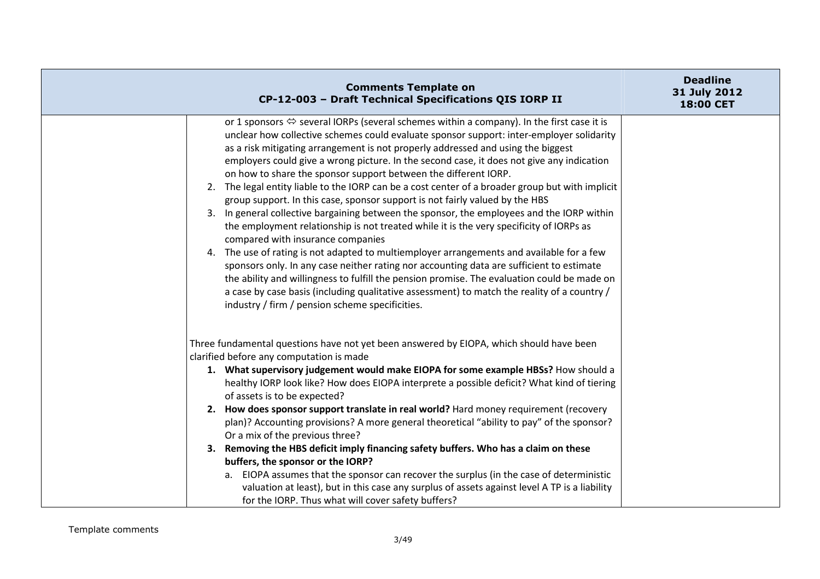| <b>Comments Template on</b><br>CP-12-003 - Draft Technical Specifications QIS IORP II                                                                                                                                                                                                                                                                                                                                                                                                                                                                                                                                                                                                                                                                                                                                                                                                                                                                                                                                                                                                                                                                                                                                                                                                                                 | <b>Deadline</b><br>31 July 2012<br><b>18:00 CET</b> |
|-----------------------------------------------------------------------------------------------------------------------------------------------------------------------------------------------------------------------------------------------------------------------------------------------------------------------------------------------------------------------------------------------------------------------------------------------------------------------------------------------------------------------------------------------------------------------------------------------------------------------------------------------------------------------------------------------------------------------------------------------------------------------------------------------------------------------------------------------------------------------------------------------------------------------------------------------------------------------------------------------------------------------------------------------------------------------------------------------------------------------------------------------------------------------------------------------------------------------------------------------------------------------------------------------------------------------|-----------------------------------------------------|
| or 1 sponsors $\Leftrightarrow$ several IORPs (several schemes within a company). In the first case it is<br>unclear how collective schemes could evaluate sponsor support: inter-employer solidarity<br>as a risk mitigating arrangement is not properly addressed and using the biggest<br>employers could give a wrong picture. In the second case, it does not give any indication<br>on how to share the sponsor support between the different IORP.<br>2. The legal entity liable to the IORP can be a cost center of a broader group but with implicit<br>group support. In this case, sponsor support is not fairly valued by the HBS<br>3. In general collective bargaining between the sponsor, the employees and the IORP within<br>the employment relationship is not treated while it is the very specificity of IORPs as<br>compared with insurance companies<br>4. The use of rating is not adapted to multiemployer arrangements and available for a few<br>sponsors only. In any case neither rating nor accounting data are sufficient to estimate<br>the ability and willingness to fulfill the pension promise. The evaluation could be made on<br>a case by case basis (including qualitative assessment) to match the reality of a country /<br>industry / firm / pension scheme specificities. |                                                     |
| Three fundamental questions have not yet been answered by EIOPA, which should have been<br>clarified before any computation is made<br>1. What supervisory judgement would make EIOPA for some example HBSs? How should a<br>healthy IORP look like? How does EIOPA interprete a possible deficit? What kind of tiering<br>of assets is to be expected?<br>2. How does sponsor support translate in real world? Hard money requirement (recovery<br>plan)? Accounting provisions? A more general theoretical "ability to pay" of the sponsor?<br>Or a mix of the previous three?<br>3. Removing the HBS deficit imply financing safety buffers. Who has a claim on these<br>buffers, the sponsor or the IORP?<br>a. EIOPA assumes that the sponsor can recover the surplus (in the case of deterministic<br>valuation at least), but in this case any surplus of assets against level A TP is a liability<br>for the IORP. Thus what will cover safety buffers?                                                                                                                                                                                                                                                                                                                                                       |                                                     |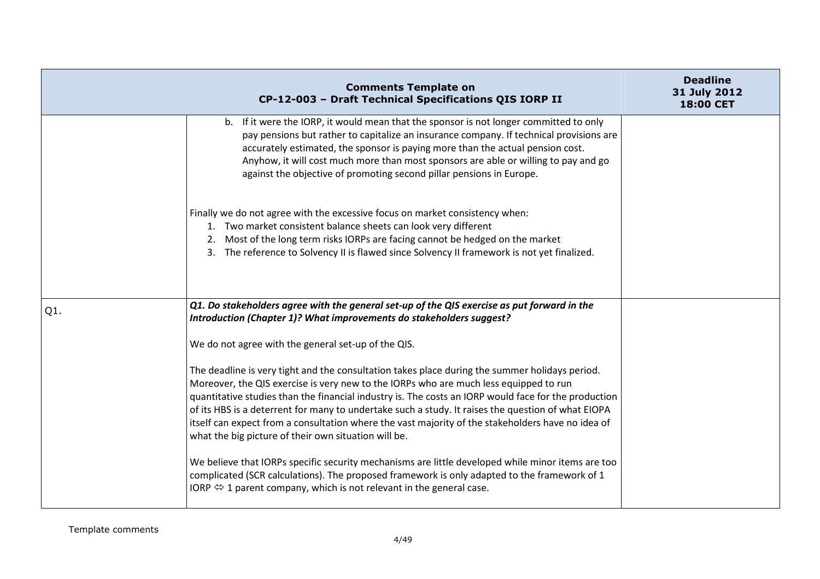|     | <b>Comments Template on</b><br>CP-12-003 - Draft Technical Specifications QIS IORP II                                                                                                                                                                                                                                                                                                                                                                                                                                                                              | <b>Deadline</b><br>31 July 2012<br>18:00 CET |
|-----|--------------------------------------------------------------------------------------------------------------------------------------------------------------------------------------------------------------------------------------------------------------------------------------------------------------------------------------------------------------------------------------------------------------------------------------------------------------------------------------------------------------------------------------------------------------------|----------------------------------------------|
|     | b. If it were the IORP, it would mean that the sponsor is not longer committed to only<br>pay pensions but rather to capitalize an insurance company. If technical provisions are<br>accurately estimated, the sponsor is paying more than the actual pension cost.<br>Anyhow, it will cost much more than most sponsors are able or willing to pay and go<br>against the objective of promoting second pillar pensions in Europe.                                                                                                                                 |                                              |
|     | Finally we do not agree with the excessive focus on market consistency when:<br>1. Two market consistent balance sheets can look very different<br>2. Most of the long term risks IORPs are facing cannot be hedged on the market<br>3. The reference to Solvency II is flawed since Solvency II framework is not yet finalized.                                                                                                                                                                                                                                   |                                              |
| Q1. | Q1. Do stakeholders agree with the general set-up of the QIS exercise as put forward in the<br>Introduction (Chapter 1)? What improvements do stakeholders suggest?                                                                                                                                                                                                                                                                                                                                                                                                |                                              |
|     | We do not agree with the general set-up of the QIS.                                                                                                                                                                                                                                                                                                                                                                                                                                                                                                                |                                              |
|     | The deadline is very tight and the consultation takes place during the summer holidays period.<br>Moreover, the QIS exercise is very new to the IORPs who are much less equipped to run<br>quantitative studies than the financial industry is. The costs an IORP would face for the production<br>of its HBS is a deterrent for many to undertake such a study. It raises the question of what EIOPA<br>itself can expect from a consultation where the vast majority of the stakeholders have no idea of<br>what the big picture of their own situation will be. |                                              |
|     | We believe that IORPs specific security mechanisms are little developed while minor items are too<br>complicated (SCR calculations). The proposed framework is only adapted to the framework of 1<br>IORP $\Leftrightarrow$ 1 parent company, which is not relevant in the general case.                                                                                                                                                                                                                                                                           |                                              |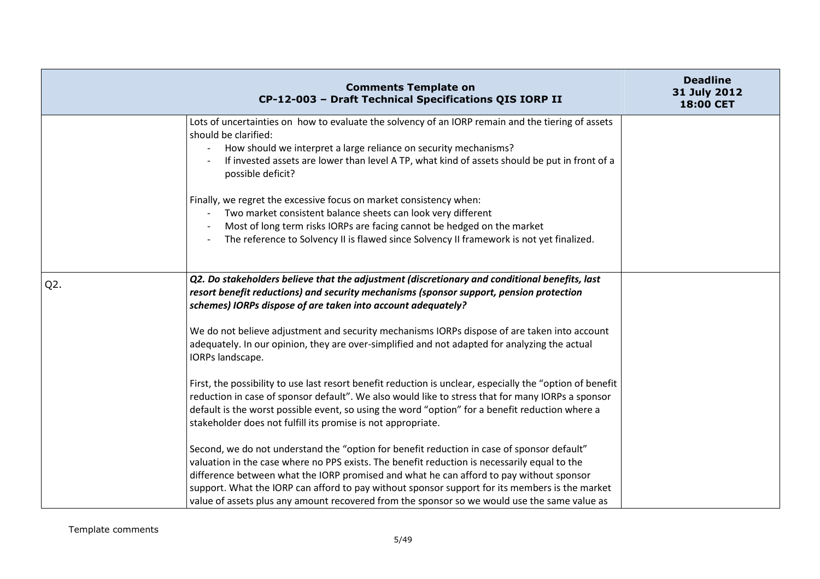|                  | <b>Comments Template on</b><br>CP-12-003 - Draft Technical Specifications QIS IORP II                                                                                                                                                                                                                                                                                                                                                                                                   | <b>Deadline</b><br>31 July 2012<br><b>18:00 CET</b> |
|------------------|-----------------------------------------------------------------------------------------------------------------------------------------------------------------------------------------------------------------------------------------------------------------------------------------------------------------------------------------------------------------------------------------------------------------------------------------------------------------------------------------|-----------------------------------------------------|
|                  | Lots of uncertainties on how to evaluate the solvency of an IORP remain and the tiering of assets<br>should be clarified:<br>How should we interpret a large reliance on security mechanisms?<br>If invested assets are lower than level A TP, what kind of assets should be put in front of a<br>possible deficit?                                                                                                                                                                     |                                                     |
|                  | Finally, we regret the excessive focus on market consistency when:<br>Two market consistent balance sheets can look very different<br>Most of long term risks IORPs are facing cannot be hedged on the market<br>The reference to Solvency II is flawed since Solvency II framework is not yet finalized.                                                                                                                                                                               |                                                     |
| Q <sub>2</sub> . | Q2. Do stakeholders believe that the adjustment (discretionary and conditional benefits, last<br>resort benefit reductions) and security mechanisms (sponsor support, pension protection<br>schemes) IORPs dispose of are taken into account adequately?                                                                                                                                                                                                                                |                                                     |
|                  | We do not believe adjustment and security mechanisms IORPs dispose of are taken into account<br>adequately. In our opinion, they are over-simplified and not adapted for analyzing the actual<br>IORPs landscape.                                                                                                                                                                                                                                                                       |                                                     |
|                  | First, the possibility to use last resort benefit reduction is unclear, especially the "option of benefit<br>reduction in case of sponsor default". We also would like to stress that for many IORPs a sponsor<br>default is the worst possible event, so using the word "option" for a benefit reduction where a<br>stakeholder does not fulfill its promise is not appropriate.                                                                                                       |                                                     |
|                  | Second, we do not understand the "option for benefit reduction in case of sponsor default"<br>valuation in the case where no PPS exists. The benefit reduction is necessarily equal to the<br>difference between what the IORP promised and what he can afford to pay without sponsor<br>support. What the IORP can afford to pay without sponsor support for its members is the market<br>value of assets plus any amount recovered from the sponsor so we would use the same value as |                                                     |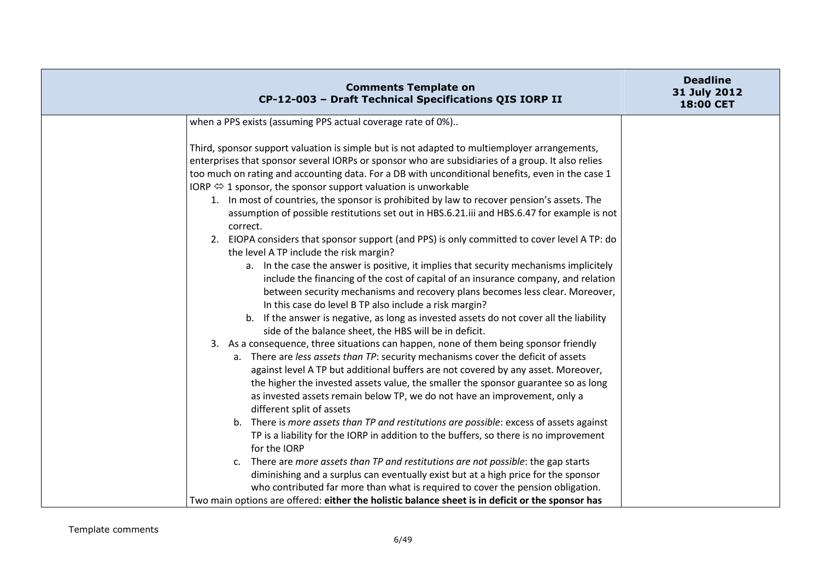| <b>Comments Template on</b><br>CP-12-003 - Draft Technical Specifications QIS IORP II                                                                                                                                                                                                                                                                                                                                                                                                                                                                                                                                                                                                                                                                                                                                                                                                                                                                                                                                                                                                                                                                                                                                                                                                                                                                                                                                                                                                                                                                                                                                                                                                                                                                                                                                                                                                                                                                                                    | <b>Deadline</b><br>31 July 2012<br>18:00 CET |
|------------------------------------------------------------------------------------------------------------------------------------------------------------------------------------------------------------------------------------------------------------------------------------------------------------------------------------------------------------------------------------------------------------------------------------------------------------------------------------------------------------------------------------------------------------------------------------------------------------------------------------------------------------------------------------------------------------------------------------------------------------------------------------------------------------------------------------------------------------------------------------------------------------------------------------------------------------------------------------------------------------------------------------------------------------------------------------------------------------------------------------------------------------------------------------------------------------------------------------------------------------------------------------------------------------------------------------------------------------------------------------------------------------------------------------------------------------------------------------------------------------------------------------------------------------------------------------------------------------------------------------------------------------------------------------------------------------------------------------------------------------------------------------------------------------------------------------------------------------------------------------------------------------------------------------------------------------------------------------------|----------------------------------------------|
| when a PPS exists (assuming PPS actual coverage rate of 0%)                                                                                                                                                                                                                                                                                                                                                                                                                                                                                                                                                                                                                                                                                                                                                                                                                                                                                                                                                                                                                                                                                                                                                                                                                                                                                                                                                                                                                                                                                                                                                                                                                                                                                                                                                                                                                                                                                                                              |                                              |
| Third, sponsor support valuation is simple but is not adapted to multiemployer arrangements,<br>enterprises that sponsor several IORPs or sponsor who are subsidiaries of a group. It also relies<br>too much on rating and accounting data. For a DB with unconditional benefits, even in the case 1<br>IORP $\Leftrightarrow$ 1 sponsor, the sponsor support valuation is unworkable<br>1. In most of countries, the sponsor is prohibited by law to recover pension's assets. The<br>assumption of possible restitutions set out in HBS.6.21.iii and HBS.6.47 for example is not<br>correct.<br>2. EIOPA considers that sponsor support (and PPS) is only committed to cover level A TP: do<br>the level A TP include the risk margin?<br>a. In the case the answer is positive, it implies that security mechanisms implicitely<br>include the financing of the cost of capital of an insurance company, and relation<br>between security mechanisms and recovery plans becomes less clear. Moreover,<br>In this case do level B TP also include a risk margin?<br>b. If the answer is negative, as long as invested assets do not cover all the liability<br>side of the balance sheet, the HBS will be in deficit.<br>3. As a consequence, three situations can happen, none of them being sponsor friendly<br>a. There are less assets than TP: security mechanisms cover the deficit of assets<br>against level A TP but additional buffers are not covered by any asset. Moreover,<br>the higher the invested assets value, the smaller the sponsor guarantee so as long<br>as invested assets remain below TP, we do not have an improvement, only a<br>different split of assets<br>b. There is more assets than TP and restitutions are possible: excess of assets against<br>TP is a liability for the IORP in addition to the buffers, so there is no improvement<br>for the IORP<br>There are more assets than TP and restitutions are not possible: the gap starts<br>C. |                                              |
| diminishing and a surplus can eventually exist but at a high price for the sponsor                                                                                                                                                                                                                                                                                                                                                                                                                                                                                                                                                                                                                                                                                                                                                                                                                                                                                                                                                                                                                                                                                                                                                                                                                                                                                                                                                                                                                                                                                                                                                                                                                                                                                                                                                                                                                                                                                                       |                                              |
| who contributed far more than what is required to cover the pension obligation.<br>Two main options are offered: either the holistic balance sheet is in deficit or the sponsor has                                                                                                                                                                                                                                                                                                                                                                                                                                                                                                                                                                                                                                                                                                                                                                                                                                                                                                                                                                                                                                                                                                                                                                                                                                                                                                                                                                                                                                                                                                                                                                                                                                                                                                                                                                                                      |                                              |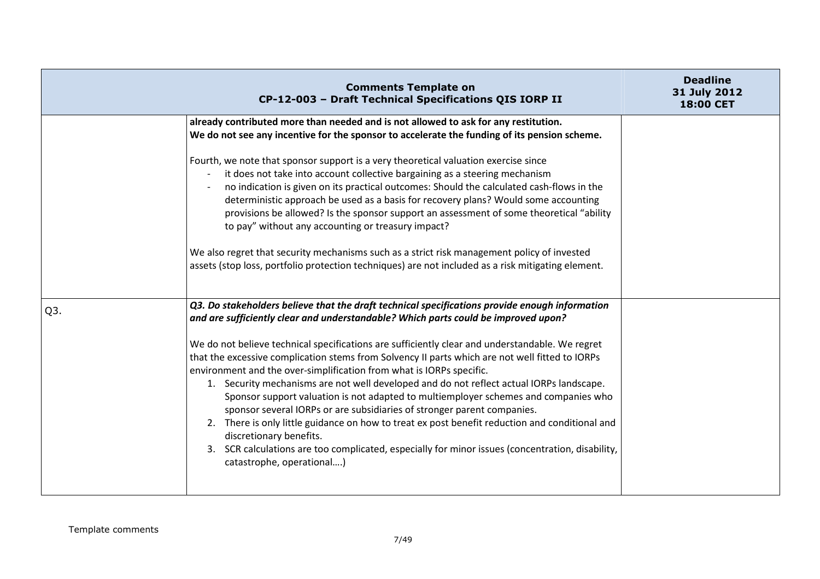|                  | <b>Comments Template on</b><br>CP-12-003 - Draft Technical Specifications QIS IORP II                                                                                                                                                                                                                                                                                                                                                                                                                                                                                                                                                                                                                                                                                                                                                                                                                                                                                                          | <b>Deadline</b><br>31 July 2012<br><b>18:00 CET</b> |
|------------------|------------------------------------------------------------------------------------------------------------------------------------------------------------------------------------------------------------------------------------------------------------------------------------------------------------------------------------------------------------------------------------------------------------------------------------------------------------------------------------------------------------------------------------------------------------------------------------------------------------------------------------------------------------------------------------------------------------------------------------------------------------------------------------------------------------------------------------------------------------------------------------------------------------------------------------------------------------------------------------------------|-----------------------------------------------------|
|                  | already contributed more than needed and is not allowed to ask for any restitution.<br>We do not see any incentive for the sponsor to accelerate the funding of its pension scheme.<br>Fourth, we note that sponsor support is a very theoretical valuation exercise since<br>it does not take into account collective bargaining as a steering mechanism<br>no indication is given on its practical outcomes: Should the calculated cash-flows in the<br>deterministic approach be used as a basis for recovery plans? Would some accounting<br>provisions be allowed? Is the sponsor support an assessment of some theoretical "ability<br>to pay" without any accounting or treasury impact?<br>We also regret that security mechanisms such as a strict risk management policy of invested<br>assets (stop loss, portfolio protection techniques) are not included as a risk mitigating element.                                                                                           |                                                     |
| Q <sub>3</sub> . | Q3. Do stakeholders believe that the draft technical specifications provide enough information<br>and are sufficiently clear and understandable? Which parts could be improved upon?<br>We do not believe technical specifications are sufficiently clear and understandable. We regret<br>that the excessive complication stems from Solvency II parts which are not well fitted to IORPs<br>environment and the over-simplification from what is IORPs specific.<br>1. Security mechanisms are not well developed and do not reflect actual IORPs landscape.<br>Sponsor support valuation is not adapted to multiemployer schemes and companies who<br>sponsor several IORPs or are subsidiaries of stronger parent companies.<br>2. There is only little guidance on how to treat ex post benefit reduction and conditional and<br>discretionary benefits.<br>3. SCR calculations are too complicated, especially for minor issues (concentration, disability,<br>catastrophe, operational) |                                                     |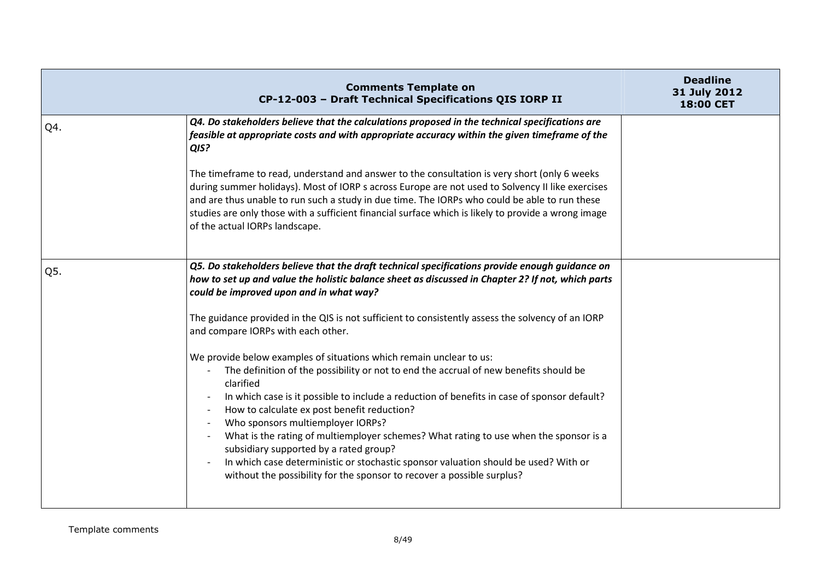|     | <b>Comments Template on</b><br>CP-12-003 - Draft Technical Specifications QIS IORP II                                                                                                                                                                                                                                                                                                                                                                                                                                                                                                                                                                            | <b>Deadline</b><br>31 July 2012<br>18:00 CET |
|-----|------------------------------------------------------------------------------------------------------------------------------------------------------------------------------------------------------------------------------------------------------------------------------------------------------------------------------------------------------------------------------------------------------------------------------------------------------------------------------------------------------------------------------------------------------------------------------------------------------------------------------------------------------------------|----------------------------------------------|
| Q4. | Q4. Do stakeholders believe that the calculations proposed in the technical specifications are<br>feasible at appropriate costs and with appropriate accuracy within the given timeframe of the<br>QIS?                                                                                                                                                                                                                                                                                                                                                                                                                                                          |                                              |
|     | The timeframe to read, understand and answer to the consultation is very short (only 6 weeks<br>during summer holidays). Most of IORP s across Europe are not used to Solvency II like exercises<br>and are thus unable to run such a study in due time. The IORPs who could be able to run these<br>studies are only those with a sufficient financial surface which is likely to provide a wrong image<br>of the actual IORPs landscape.                                                                                                                                                                                                                       |                                              |
| Q5. | Q5. Do stakeholders believe that the draft technical specifications provide enough guidance on<br>how to set up and value the holistic balance sheet as discussed in Chapter 2? If not, which parts<br>could be improved upon and in what way?                                                                                                                                                                                                                                                                                                                                                                                                                   |                                              |
|     | The guidance provided in the QIS is not sufficient to consistently assess the solvency of an IORP<br>and compare IORPs with each other.                                                                                                                                                                                                                                                                                                                                                                                                                                                                                                                          |                                              |
|     | We provide below examples of situations which remain unclear to us:<br>The definition of the possibility or not to end the accrual of new benefits should be<br>clarified<br>In which case is it possible to include a reduction of benefits in case of sponsor default?<br>How to calculate ex post benefit reduction?<br>Who sponsors multiemployer IORPs?<br>What is the rating of multiemployer schemes? What rating to use when the sponsor is a<br>subsidiary supported by a rated group?<br>In which case deterministic or stochastic sponsor valuation should be used? With or<br>without the possibility for the sponsor to recover a possible surplus? |                                              |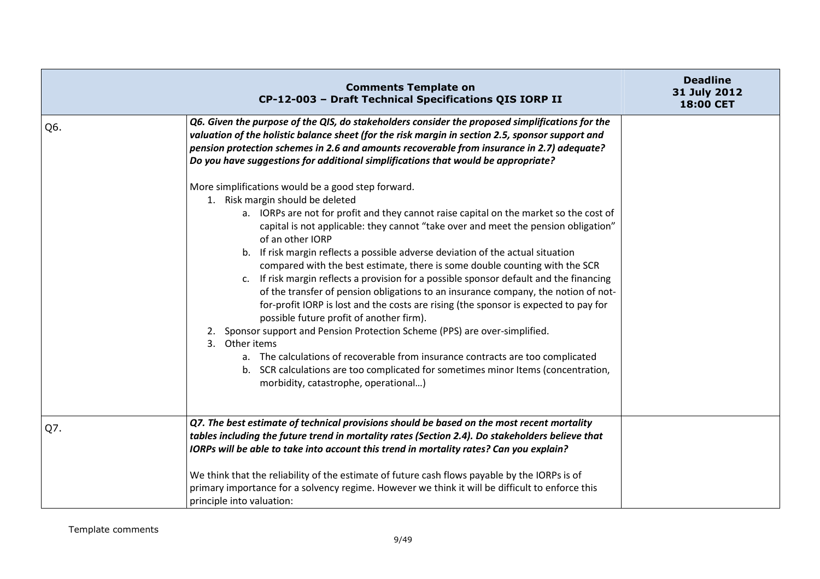|     | <b>Comments Template on</b><br>CP-12-003 - Draft Technical Specifications QIS IORP II                                                                                                                                                                                                                                                                                                                                                                                                                                                                                                                                                                                                                                                                                                                                                                                                                                                                                                                                                                                                                 | <b>Deadline</b><br>31 July 2012<br>18:00 CET |
|-----|-------------------------------------------------------------------------------------------------------------------------------------------------------------------------------------------------------------------------------------------------------------------------------------------------------------------------------------------------------------------------------------------------------------------------------------------------------------------------------------------------------------------------------------------------------------------------------------------------------------------------------------------------------------------------------------------------------------------------------------------------------------------------------------------------------------------------------------------------------------------------------------------------------------------------------------------------------------------------------------------------------------------------------------------------------------------------------------------------------|----------------------------------------------|
| Q6. | Q6. Given the purpose of the QIS, do stakeholders consider the proposed simplifications for the<br>valuation of the holistic balance sheet (for the risk margin in section 2.5, sponsor support and<br>pension protection schemes in 2.6 and amounts recoverable from insurance in 2.7) adequate?<br>Do you have suggestions for additional simplifications that would be appropriate?                                                                                                                                                                                                                                                                                                                                                                                                                                                                                                                                                                                                                                                                                                                |                                              |
|     | More simplifications would be a good step forward.<br>1. Risk margin should be deleted<br>a. IORPs are not for profit and they cannot raise capital on the market so the cost of<br>capital is not applicable: they cannot "take over and meet the pension obligation"<br>of an other IORP<br>b. If risk margin reflects a possible adverse deviation of the actual situation<br>compared with the best estimate, there is some double counting with the SCR<br>c. If risk margin reflects a provision for a possible sponsor default and the financing<br>of the transfer of pension obligations to an insurance company, the notion of not-<br>for-profit IORP is lost and the costs are rising (the sponsor is expected to pay for<br>possible future profit of another firm).<br>Sponsor support and Pension Protection Scheme (PPS) are over-simplified.<br>2.<br>3. Other items<br>a. The calculations of recoverable from insurance contracts are too complicated<br>b. SCR calculations are too complicated for sometimes minor Items (concentration,<br>morbidity, catastrophe, operational) |                                              |
| Q7. | Q7. The best estimate of technical provisions should be based on the most recent mortality<br>tables including the future trend in mortality rates (Section 2.4). Do stakeholders believe that<br>IORPs will be able to take into account this trend in mortality rates? Can you explain?<br>We think that the reliability of the estimate of future cash flows payable by the IORPs is of<br>primary importance for a solvency regime. However we think it will be difficult to enforce this<br>principle into valuation:                                                                                                                                                                                                                                                                                                                                                                                                                                                                                                                                                                            |                                              |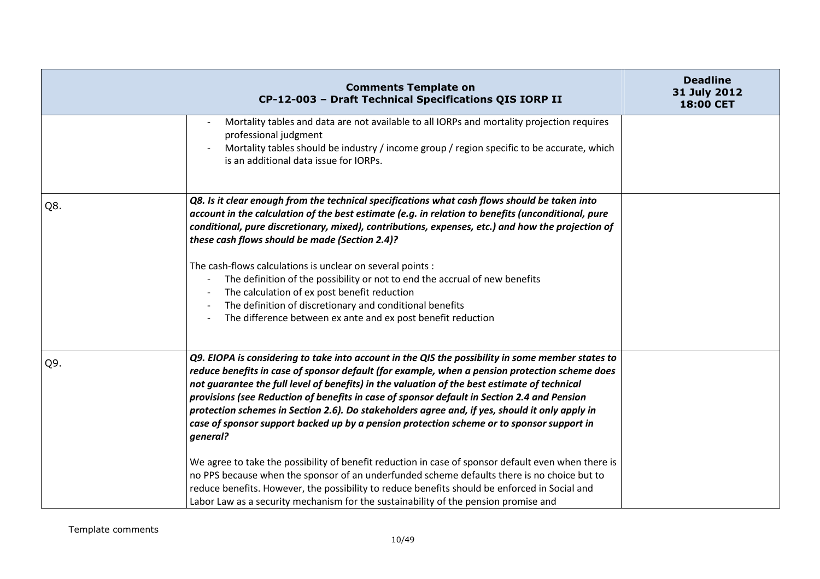|     | <b>Comments Template on</b><br>CP-12-003 - Draft Technical Specifications QIS IORP II                                                                                                                                                                                                                                                                                                                                                                                                                                                                                                                                                                                                                                                                                                                                                                                                                                                                                                                       | <b>Deadline</b><br>31 July 2012<br><b>18:00 CET</b> |
|-----|-------------------------------------------------------------------------------------------------------------------------------------------------------------------------------------------------------------------------------------------------------------------------------------------------------------------------------------------------------------------------------------------------------------------------------------------------------------------------------------------------------------------------------------------------------------------------------------------------------------------------------------------------------------------------------------------------------------------------------------------------------------------------------------------------------------------------------------------------------------------------------------------------------------------------------------------------------------------------------------------------------------|-----------------------------------------------------|
|     | Mortality tables and data are not available to all IORPs and mortality projection requires<br>professional judgment<br>Mortality tables should be industry / income group / region specific to be accurate, which<br>is an additional data issue for IORPs.                                                                                                                                                                                                                                                                                                                                                                                                                                                                                                                                                                                                                                                                                                                                                 |                                                     |
| Q8. | Q8. Is it clear enough from the technical specifications what cash flows should be taken into<br>account in the calculation of the best estimate (e.g. in relation to benefits (unconditional, pure<br>conditional, pure discretionary, mixed), contributions, expenses, etc.) and how the projection of<br>these cash flows should be made (Section 2.4)?<br>The cash-flows calculations is unclear on several points :<br>The definition of the possibility or not to end the accrual of new benefits<br>The calculation of ex post benefit reduction<br>The definition of discretionary and conditional benefits<br>The difference between ex ante and ex post benefit reduction                                                                                                                                                                                                                                                                                                                         |                                                     |
| Q9. | Q9. EIOPA is considering to take into account in the QIS the possibility in some member states to<br>reduce benefits in case of sponsor default (for example, when a pension protection scheme does<br>not guarantee the full level of benefits) in the valuation of the best estimate of technical<br>provisions (see Reduction of benefits in case of sponsor default in Section 2.4 and Pension<br>protection schemes in Section 2.6). Do stakeholders agree and, if yes, should it only apply in<br>case of sponsor support backed up by a pension protection scheme or to sponsor support in<br>general?<br>We agree to take the possibility of benefit reduction in case of sponsor default even when there is<br>no PPS because when the sponsor of an underfunded scheme defaults there is no choice but to<br>reduce benefits. However, the possibility to reduce benefits should be enforced in Social and<br>Labor Law as a security mechanism for the sustainability of the pension promise and |                                                     |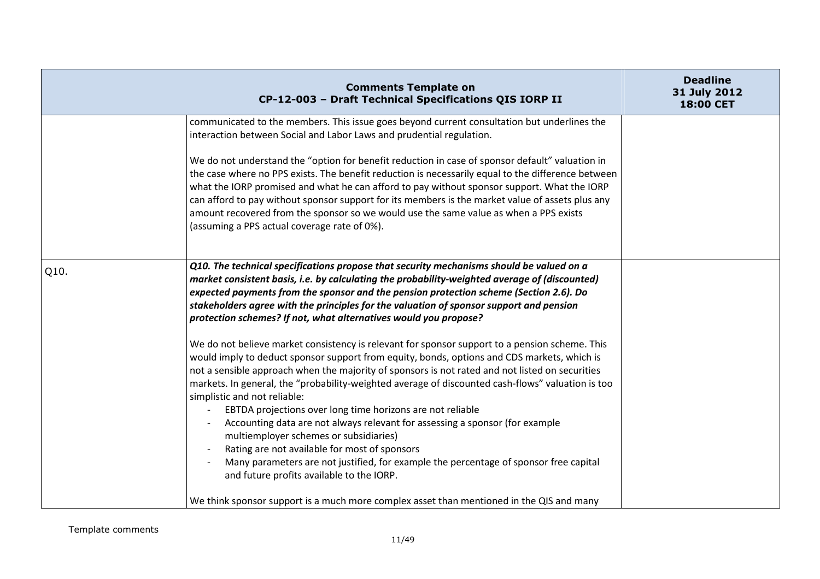|      | <b>Comments Template on</b><br>CP-12-003 - Draft Technical Specifications QIS IORP II                                                                                                                                                                                                                                                                                                                                                                                                                                                                                                                                                                                                                                                                                                                                                                                                                                                                                                                                                                                                                                                                                                                                                                                      | <b>Deadline</b><br>31 July 2012<br>18:00 CET |
|------|----------------------------------------------------------------------------------------------------------------------------------------------------------------------------------------------------------------------------------------------------------------------------------------------------------------------------------------------------------------------------------------------------------------------------------------------------------------------------------------------------------------------------------------------------------------------------------------------------------------------------------------------------------------------------------------------------------------------------------------------------------------------------------------------------------------------------------------------------------------------------------------------------------------------------------------------------------------------------------------------------------------------------------------------------------------------------------------------------------------------------------------------------------------------------------------------------------------------------------------------------------------------------|----------------------------------------------|
|      | communicated to the members. This issue goes beyond current consultation but underlines the<br>interaction between Social and Labor Laws and prudential regulation.<br>We do not understand the "option for benefit reduction in case of sponsor default" valuation in<br>the case where no PPS exists. The benefit reduction is necessarily equal to the difference between<br>what the IORP promised and what he can afford to pay without sponsor support. What the IORP<br>can afford to pay without sponsor support for its members is the market value of assets plus any<br>amount recovered from the sponsor so we would use the same value as when a PPS exists<br>(assuming a PPS actual coverage rate of 0%).                                                                                                                                                                                                                                                                                                                                                                                                                                                                                                                                                   |                                              |
| Q10. | Q10. The technical specifications propose that security mechanisms should be valued on a<br>market consistent basis, i.e. by calculating the probability-weighted average of (discounted)<br>expected payments from the sponsor and the pension protection scheme (Section 2.6). Do<br>stakeholders agree with the principles for the valuation of sponsor support and pension<br>protection schemes? If not, what alternatives would you propose?<br>We do not believe market consistency is relevant for sponsor support to a pension scheme. This<br>would imply to deduct sponsor support from equity, bonds, options and CDS markets, which is<br>not a sensible approach when the majority of sponsors is not rated and not listed on securities<br>markets. In general, the "probability-weighted average of discounted cash-flows" valuation is too<br>simplistic and not reliable:<br>EBTDA projections over long time horizons are not reliable<br>Accounting data are not always relevant for assessing a sponsor (for example<br>multiemployer schemes or subsidiaries)<br>Rating are not available for most of sponsors<br>Many parameters are not justified, for example the percentage of sponsor free capital<br>and future profits available to the IORP. |                                              |
|      | We think sponsor support is a much more complex asset than mentioned in the QIS and many                                                                                                                                                                                                                                                                                                                                                                                                                                                                                                                                                                                                                                                                                                                                                                                                                                                                                                                                                                                                                                                                                                                                                                                   |                                              |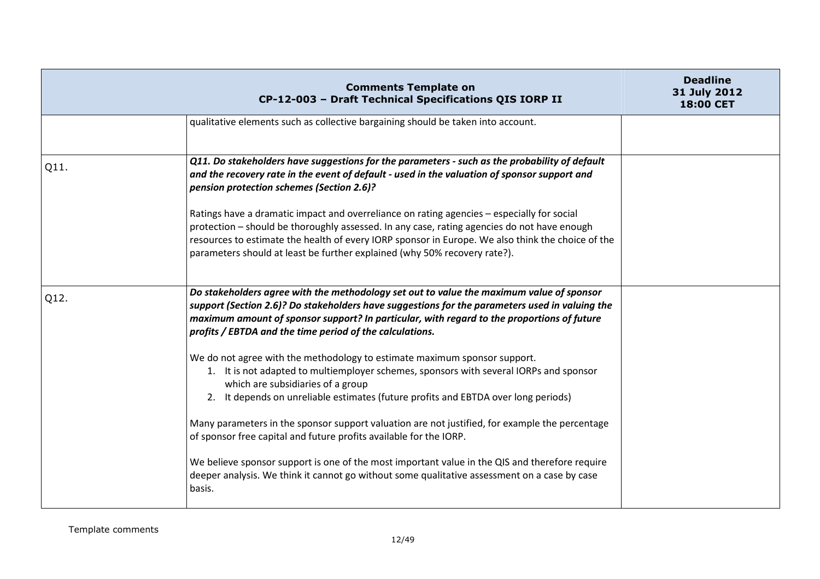|      | <b>Comments Template on</b><br>CP-12-003 - Draft Technical Specifications QIS IORP II                                                                                                                                                                                                                                                                                       | <b>Deadline</b><br>31 July 2012<br>18:00 CET |
|------|-----------------------------------------------------------------------------------------------------------------------------------------------------------------------------------------------------------------------------------------------------------------------------------------------------------------------------------------------------------------------------|----------------------------------------------|
|      | qualitative elements such as collective bargaining should be taken into account.                                                                                                                                                                                                                                                                                            |                                              |
| Q11. | Q11. Do stakeholders have suggestions for the parameters - such as the probability of default<br>and the recovery rate in the event of default - used in the valuation of sponsor support and<br>pension protection schemes (Section 2.6)?                                                                                                                                  |                                              |
|      | Ratings have a dramatic impact and overreliance on rating agencies - especially for social<br>protection - should be thoroughly assessed. In any case, rating agencies do not have enough<br>resources to estimate the health of every IORP sponsor in Europe. We also think the choice of the<br>parameters should at least be further explained (why 50% recovery rate?). |                                              |
| Q12. | Do stakeholders agree with the methodology set out to value the maximum value of sponsor<br>support (Section 2.6)? Do stakeholders have suggestions for the parameters used in valuing the<br>maximum amount of sponsor support? In particular, with regard to the proportions of future<br>profits / EBTDA and the time period of the calculations.                        |                                              |
|      | We do not agree with the methodology to estimate maximum sponsor support.<br>1. It is not adapted to multiemployer schemes, sponsors with several IORPs and sponsor<br>which are subsidiaries of a group<br>2. It depends on unreliable estimates (future profits and EBTDA over long periods)                                                                              |                                              |
|      | Many parameters in the sponsor support valuation are not justified, for example the percentage<br>of sponsor free capital and future profits available for the IORP.                                                                                                                                                                                                        |                                              |
|      | We believe sponsor support is one of the most important value in the QIS and therefore require<br>deeper analysis. We think it cannot go without some qualitative assessment on a case by case<br>basis.                                                                                                                                                                    |                                              |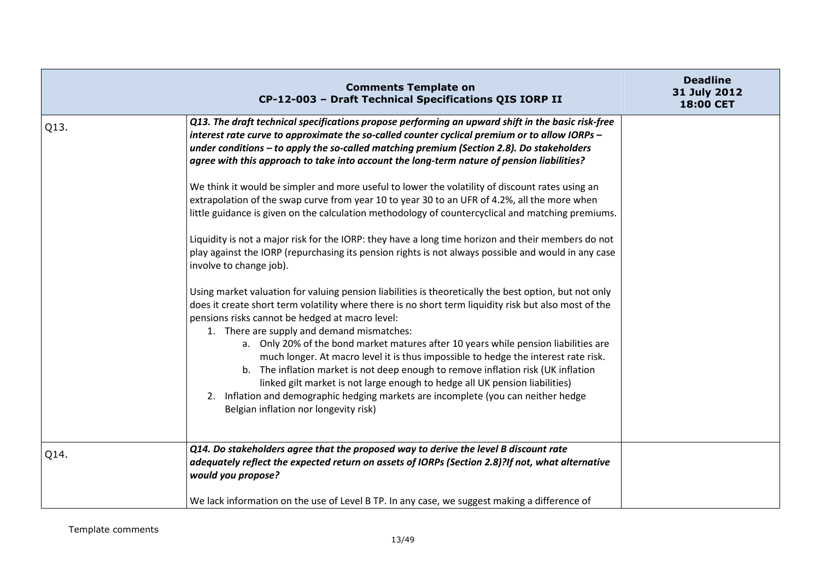|      | <b>Comments Template on</b><br>CP-12-003 - Draft Technical Specifications QIS IORP II                                                                                                                                                                                                                                                                                                                                                                                        | <b>Deadline</b><br>31 July 2012<br>18:00 CET |
|------|------------------------------------------------------------------------------------------------------------------------------------------------------------------------------------------------------------------------------------------------------------------------------------------------------------------------------------------------------------------------------------------------------------------------------------------------------------------------------|----------------------------------------------|
| Q13. | Q13. The draft technical specifications propose performing an upward shift in the basic risk-free<br>interest rate curve to approximate the so-called counter cyclical premium or to allow IORPs -<br>under conditions - to apply the so-called matching premium (Section 2.8). Do stakeholders<br>agree with this approach to take into account the long-term nature of pension liabilities?                                                                                |                                              |
|      | We think it would be simpler and more useful to lower the volatility of discount rates using an<br>extrapolation of the swap curve from year 10 to year 30 to an UFR of 4.2%, all the more when<br>little guidance is given on the calculation methodology of countercyclical and matching premiums.                                                                                                                                                                         |                                              |
|      | Liquidity is not a major risk for the IORP: they have a long time horizon and their members do not<br>play against the IORP (repurchasing its pension rights is not always possible and would in any case<br>involve to change job).                                                                                                                                                                                                                                         |                                              |
|      | Using market valuation for valuing pension liabilities is theoretically the best option, but not only<br>does it create short term volatility where there is no short term liquidity risk but also most of the<br>pensions risks cannot be hedged at macro level:<br>1. There are supply and demand mismatches:                                                                                                                                                              |                                              |
|      | a. Only 20% of the bond market matures after 10 years while pension liabilities are<br>much longer. At macro level it is thus impossible to hedge the interest rate risk.<br>b. The inflation market is not deep enough to remove inflation risk (UK inflation<br>linked gilt market is not large enough to hedge all UK pension liabilities)<br>2. Inflation and demographic hedging markets are incomplete (you can neither hedge<br>Belgian inflation nor longevity risk) |                                              |
| Q14. | Q14. Do stakeholders agree that the proposed way to derive the level B discount rate<br>adequately reflect the expected return on assets of IORPs (Section 2.8)?If not, what alternative<br>would you propose?                                                                                                                                                                                                                                                               |                                              |
|      | We lack information on the use of Level B TP. In any case, we suggest making a difference of                                                                                                                                                                                                                                                                                                                                                                                 |                                              |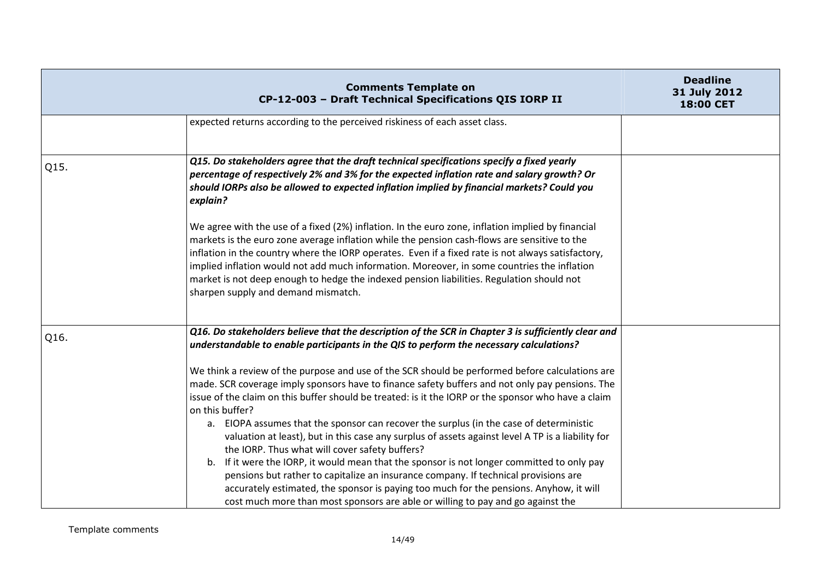|      | <b>Comments Template on</b><br>CP-12-003 - Draft Technical Specifications QIS IORP II                                                                                                                                                                                                                                                                                                                                                                                                                                                      | <b>Deadline</b><br>31 July 2012<br>18:00 CET |
|------|--------------------------------------------------------------------------------------------------------------------------------------------------------------------------------------------------------------------------------------------------------------------------------------------------------------------------------------------------------------------------------------------------------------------------------------------------------------------------------------------------------------------------------------------|----------------------------------------------|
|      | expected returns according to the perceived riskiness of each asset class.                                                                                                                                                                                                                                                                                                                                                                                                                                                                 |                                              |
|      |                                                                                                                                                                                                                                                                                                                                                                                                                                                                                                                                            |                                              |
| Q15. | Q15. Do stakeholders agree that the draft technical specifications specify a fixed yearly<br>percentage of respectively 2% and 3% for the expected inflation rate and salary growth? Or<br>should IORPs also be allowed to expected inflation implied by financial markets? Could you<br>explain?                                                                                                                                                                                                                                          |                                              |
|      | We agree with the use of a fixed (2%) inflation. In the euro zone, inflation implied by financial<br>markets is the euro zone average inflation while the pension cash-flows are sensitive to the<br>inflation in the country where the IORP operates. Even if a fixed rate is not always satisfactory,<br>implied inflation would not add much information. Moreover, in some countries the inflation<br>market is not deep enough to hedge the indexed pension liabilities. Regulation should not<br>sharpen supply and demand mismatch. |                                              |
| Q16. | Q16. Do stakeholders believe that the description of the SCR in Chapter 3 is sufficiently clear and<br>understandable to enable participants in the QIS to perform the necessary calculations?                                                                                                                                                                                                                                                                                                                                             |                                              |
|      | We think a review of the purpose and use of the SCR should be performed before calculations are                                                                                                                                                                                                                                                                                                                                                                                                                                            |                                              |
|      | made. SCR coverage imply sponsors have to finance safety buffers and not only pay pensions. The                                                                                                                                                                                                                                                                                                                                                                                                                                            |                                              |
|      | issue of the claim on this buffer should be treated: is it the IORP or the sponsor who have a claim                                                                                                                                                                                                                                                                                                                                                                                                                                        |                                              |
|      | on this buffer?<br>a. EIOPA assumes that the sponsor can recover the surplus (in the case of deterministic                                                                                                                                                                                                                                                                                                                                                                                                                                 |                                              |
|      | valuation at least), but in this case any surplus of assets against level A TP is a liability for<br>the IORP. Thus what will cover safety buffers?                                                                                                                                                                                                                                                                                                                                                                                        |                                              |
|      | If it were the IORP, it would mean that the sponsor is not longer committed to only pay<br>b.                                                                                                                                                                                                                                                                                                                                                                                                                                              |                                              |
|      | pensions but rather to capitalize an insurance company. If technical provisions are                                                                                                                                                                                                                                                                                                                                                                                                                                                        |                                              |
|      | accurately estimated, the sponsor is paying too much for the pensions. Anyhow, it will                                                                                                                                                                                                                                                                                                                                                                                                                                                     |                                              |
|      | cost much more than most sponsors are able or willing to pay and go against the                                                                                                                                                                                                                                                                                                                                                                                                                                                            |                                              |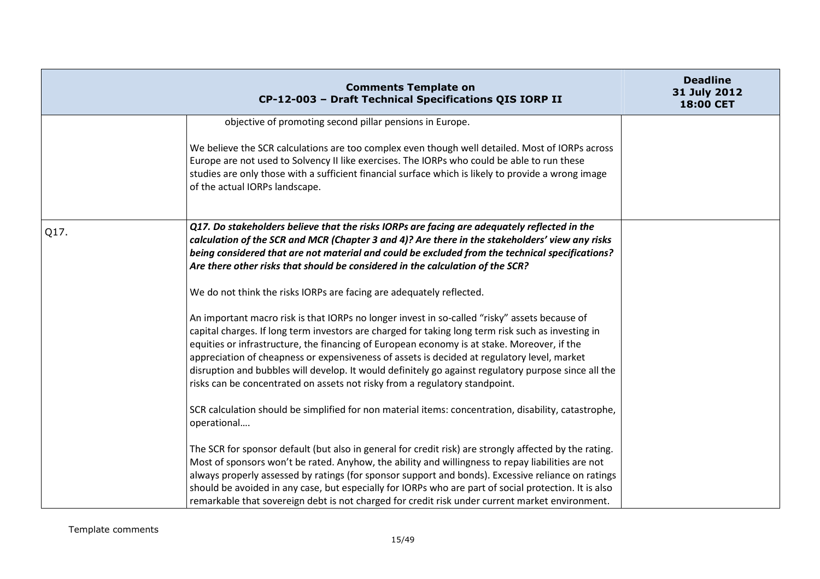|      | <b>Comments Template on</b><br>CP-12-003 - Draft Technical Specifications QIS IORP II                                                                                                                                                                                                                                                                                                                                                                                                                                                                                                    | <b>Deadline</b><br>31 July 2012<br>18:00 CET |
|------|------------------------------------------------------------------------------------------------------------------------------------------------------------------------------------------------------------------------------------------------------------------------------------------------------------------------------------------------------------------------------------------------------------------------------------------------------------------------------------------------------------------------------------------------------------------------------------------|----------------------------------------------|
|      | objective of promoting second pillar pensions in Europe.                                                                                                                                                                                                                                                                                                                                                                                                                                                                                                                                 |                                              |
|      | We believe the SCR calculations are too complex even though well detailed. Most of IORPs across<br>Europe are not used to Solvency II like exercises. The IORPs who could be able to run these<br>studies are only those with a sufficient financial surface which is likely to provide a wrong image<br>of the actual IORPs landscape.                                                                                                                                                                                                                                                  |                                              |
| Q17. | Q17. Do stakeholders believe that the risks IORPs are facing are adequately reflected in the<br>calculation of the SCR and MCR (Chapter 3 and 4)? Are there in the stakeholders' view any risks<br>being considered that are not material and could be excluded from the technical specifications?<br>Are there other risks that should be considered in the calculation of the SCR?                                                                                                                                                                                                     |                                              |
|      | We do not think the risks IORPs are facing are adequately reflected.                                                                                                                                                                                                                                                                                                                                                                                                                                                                                                                     |                                              |
|      | An important macro risk is that IORPs no longer invest in so-called "risky" assets because of<br>capital charges. If long term investors are charged for taking long term risk such as investing in<br>equities or infrastructure, the financing of European economy is at stake. Moreover, if the<br>appreciation of cheapness or expensiveness of assets is decided at regulatory level, market<br>disruption and bubbles will develop. It would definitely go against regulatory purpose since all the<br>risks can be concentrated on assets not risky from a regulatory standpoint. |                                              |
|      | SCR calculation should be simplified for non material items: concentration, disability, catastrophe,<br>operational                                                                                                                                                                                                                                                                                                                                                                                                                                                                      |                                              |
|      | The SCR for sponsor default (but also in general for credit risk) are strongly affected by the rating.<br>Most of sponsors won't be rated. Anyhow, the ability and willingness to repay liabilities are not<br>always properly assessed by ratings (for sponsor support and bonds). Excessive reliance on ratings<br>should be avoided in any case, but especially for IORPs who are part of social protection. It is also<br>remarkable that sovereign debt is not charged for credit risk under current market environment.                                                            |                                              |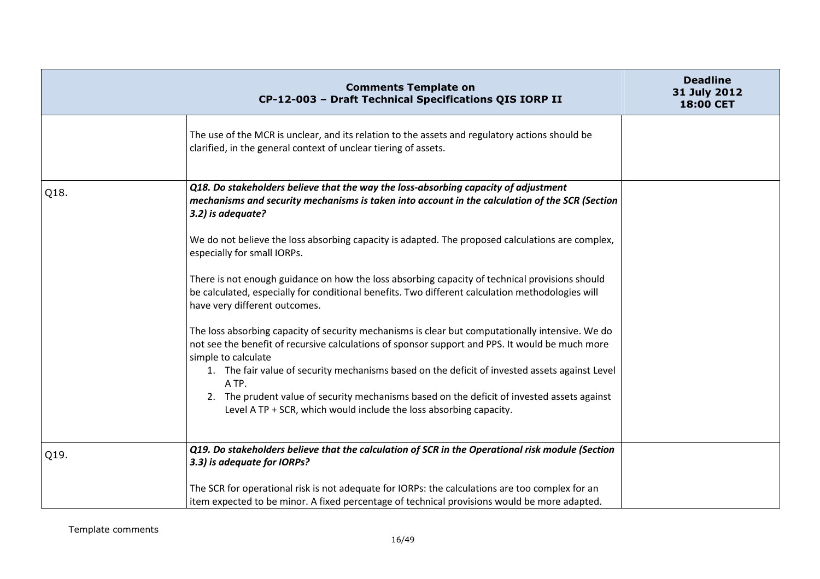|      | <b>Comments Template on</b><br>CP-12-003 - Draft Technical Specifications QIS IORP II                                                                                                                                               | <b>Deadline</b><br>31 July 2012<br>18:00 CET |
|------|-------------------------------------------------------------------------------------------------------------------------------------------------------------------------------------------------------------------------------------|----------------------------------------------|
|      | The use of the MCR is unclear, and its relation to the assets and regulatory actions should be<br>clarified, in the general context of unclear tiering of assets.                                                                   |                                              |
| Q18. | Q18. Do stakeholders believe that the way the loss-absorbing capacity of adjustment<br>mechanisms and security mechanisms is taken into account in the calculation of the SCR (Section<br>3.2) is adequate?                         |                                              |
|      | We do not believe the loss absorbing capacity is adapted. The proposed calculations are complex,<br>especially for small IORPs.                                                                                                     |                                              |
|      | There is not enough guidance on how the loss absorbing capacity of technical provisions should<br>be calculated, especially for conditional benefits. Two different calculation methodologies will<br>have very different outcomes. |                                              |
|      | The loss absorbing capacity of security mechanisms is clear but computationally intensive. We do<br>not see the benefit of recursive calculations of sponsor support and PPS. It would be much more<br>simple to calculate          |                                              |
|      | 1. The fair value of security mechanisms based on the deficit of invested assets against Level<br>A TP.                                                                                                                             |                                              |
|      | 2. The prudent value of security mechanisms based on the deficit of invested assets against<br>Level A TP + SCR, which would include the loss absorbing capacity.                                                                   |                                              |
| Q19. | Q19. Do stakeholders believe that the calculation of SCR in the Operational risk module (Section<br>3.3) is adequate for IORPs?                                                                                                     |                                              |
|      | The SCR for operational risk is not adequate for IORPs: the calculations are too complex for an<br>item expected to be minor. A fixed percentage of technical provisions would be more adapted.                                     |                                              |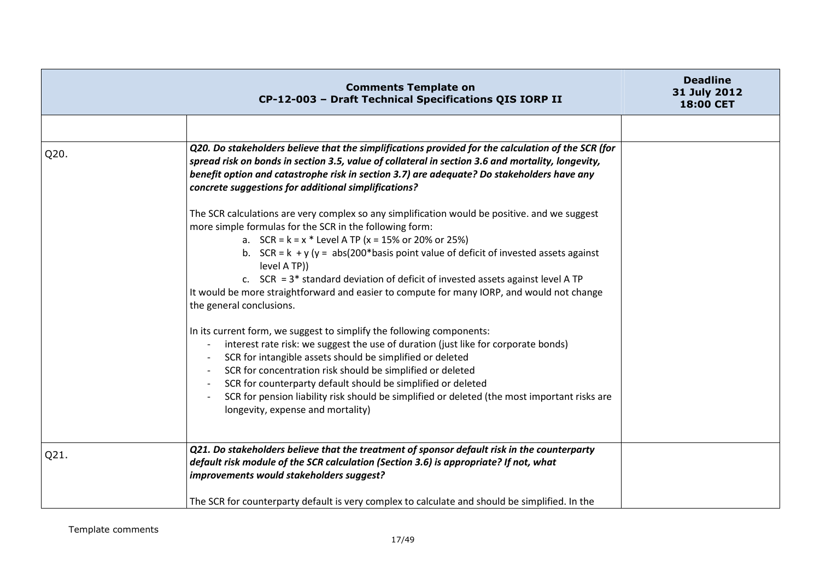|      | <b>Comments Template on</b><br>CP-12-003 - Draft Technical Specifications QIS IORP II                                                                                                                                                                                                                                                                                                                                                                                                                                                                                                                                 | <b>Deadline</b><br>31 July 2012<br>18:00 CET |
|------|-----------------------------------------------------------------------------------------------------------------------------------------------------------------------------------------------------------------------------------------------------------------------------------------------------------------------------------------------------------------------------------------------------------------------------------------------------------------------------------------------------------------------------------------------------------------------------------------------------------------------|----------------------------------------------|
|      |                                                                                                                                                                                                                                                                                                                                                                                                                                                                                                                                                                                                                       |                                              |
| Q20. | Q20. Do stakeholders believe that the simplifications provided for the calculation of the SCR (for<br>spread risk on bonds in section 3.5, value of collateral in section 3.6 and mortality, longevity,<br>benefit option and catastrophe risk in section 3.7) are adequate? Do stakeholders have any<br>concrete suggestions for additional simplifications?                                                                                                                                                                                                                                                         |                                              |
|      | The SCR calculations are very complex so any simplification would be positive. and we suggest<br>more simple formulas for the SCR in the following form:<br>a. $SCR = k = x * Level A TP (x = 15% or 20% or 25%)$<br>b. $SCR = k + y (y = abs(200 * basis point value of (deficit of invested assets against$<br>level A TP))<br>c. $SCR = 3*$ standard deviation of deficit of invested assets against level A TP<br>It would be more straightforward and easier to compute for many IORP, and would not change<br>the general conclusions.<br>In its current form, we suggest to simplify the following components: |                                              |
|      | interest rate risk: we suggest the use of duration (just like for corporate bonds)<br>$\overline{\phantom{a}}$<br>SCR for intangible assets should be simplified or deleted<br>SCR for concentration risk should be simplified or deleted<br>SCR for counterparty default should be simplified or deleted<br>SCR for pension liability risk should be simplified or deleted (the most important risks are<br>longevity, expense and mortality)                                                                                                                                                                        |                                              |
| Q21. | Q21. Do stakeholders believe that the treatment of sponsor default risk in the counterparty<br>default risk module of the SCR calculation (Section 3.6) is appropriate? If not, what<br>improvements would stakeholders suggest?                                                                                                                                                                                                                                                                                                                                                                                      |                                              |
|      | The SCR for counterparty default is very complex to calculate and should be simplified. In the                                                                                                                                                                                                                                                                                                                                                                                                                                                                                                                        |                                              |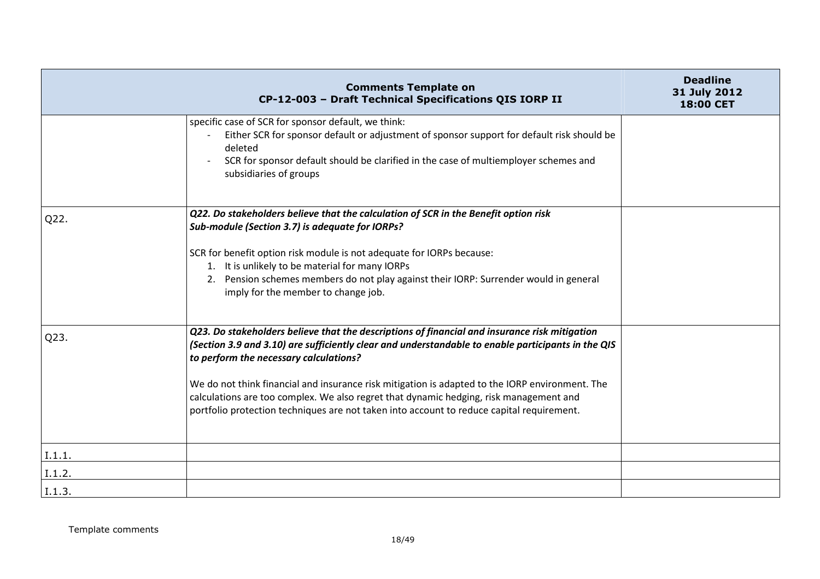|        | <b>Comments Template on</b><br>CP-12-003 - Draft Technical Specifications QIS IORP II                                                                                                                                                                                                                                                                                                                                                                                                                                                   | <b>Deadline</b><br>31 July 2012<br><b>18:00 CET</b> |
|--------|-----------------------------------------------------------------------------------------------------------------------------------------------------------------------------------------------------------------------------------------------------------------------------------------------------------------------------------------------------------------------------------------------------------------------------------------------------------------------------------------------------------------------------------------|-----------------------------------------------------|
|        | specific case of SCR for sponsor default, we think:<br>Either SCR for sponsor default or adjustment of sponsor support for default risk should be<br>deleted<br>SCR for sponsor default should be clarified in the case of multiemployer schemes and<br>subsidiaries of groups                                                                                                                                                                                                                                                          |                                                     |
| Q22.   | Q22. Do stakeholders believe that the calculation of SCR in the Benefit option risk<br>Sub-module (Section 3.7) is adequate for IORPs?<br>SCR for benefit option risk module is not adequate for IORPs because:<br>1. It is unlikely to be material for many IORPs<br>2. Pension schemes members do not play against their IORP: Surrender would in general<br>imply for the member to change job.                                                                                                                                      |                                                     |
| Q23.   | Q23. Do stakeholders believe that the descriptions of financial and insurance risk mitigation<br>(Section 3.9 and 3.10) are sufficiently clear and understandable to enable participants in the QIS<br>to perform the necessary calculations?<br>We do not think financial and insurance risk mitigation is adapted to the IORP environment. The<br>calculations are too complex. We also regret that dynamic hedging, risk management and<br>portfolio protection techniques are not taken into account to reduce capital requirement. |                                                     |
| I.1.1. |                                                                                                                                                                                                                                                                                                                                                                                                                                                                                                                                         |                                                     |
| I.1.2. |                                                                                                                                                                                                                                                                                                                                                                                                                                                                                                                                         |                                                     |
| I.1.3  |                                                                                                                                                                                                                                                                                                                                                                                                                                                                                                                                         |                                                     |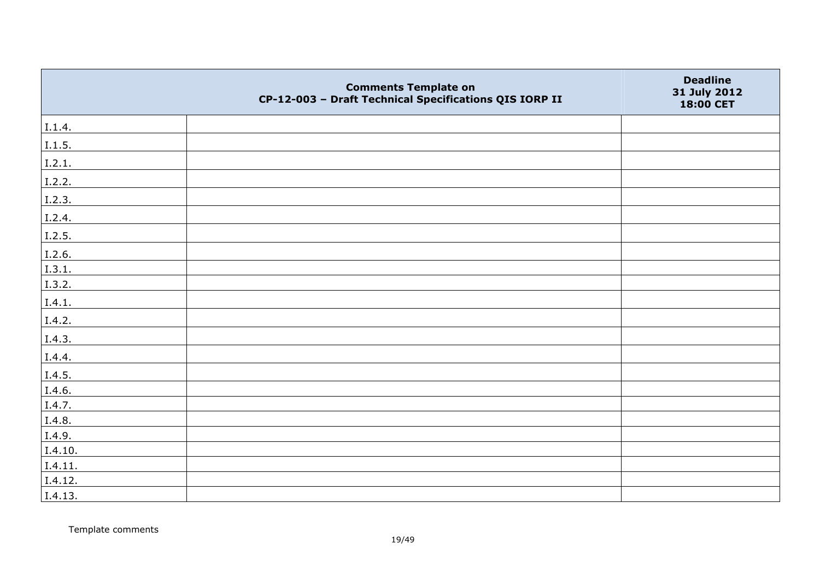|         | <b>Comments Template on</b><br>CP-12-003 - Draft Technical Specifications QIS IORP II | <b>Deadline</b><br>31 July 2012<br>18:00 CET |
|---------|---------------------------------------------------------------------------------------|----------------------------------------------|
| I.1.4.  |                                                                                       |                                              |
| 1.1.5.  |                                                                                       |                                              |
| I.2.1.  |                                                                                       |                                              |
| I.2.2.  |                                                                                       |                                              |
| I.2.3.  |                                                                                       |                                              |
| I.2.4.  |                                                                                       |                                              |
| I.2.5.  |                                                                                       |                                              |
| I.2.6.  |                                                                                       |                                              |
| I.3.1.  |                                                                                       |                                              |
| I.3.2.  |                                                                                       |                                              |
| I.4.1.  |                                                                                       |                                              |
| I.4.2.  |                                                                                       |                                              |
| I.4.3.  |                                                                                       |                                              |
| I.4.4.  |                                                                                       |                                              |
| I.4.5.  |                                                                                       |                                              |
| I.4.6.  |                                                                                       |                                              |
| I.4.7.  |                                                                                       |                                              |
| I.4.8.  |                                                                                       |                                              |
| I.4.9.  |                                                                                       |                                              |
| I.4.10. |                                                                                       |                                              |
| I.4.11. |                                                                                       |                                              |
| I.4.12. |                                                                                       |                                              |
| I.4.13. |                                                                                       |                                              |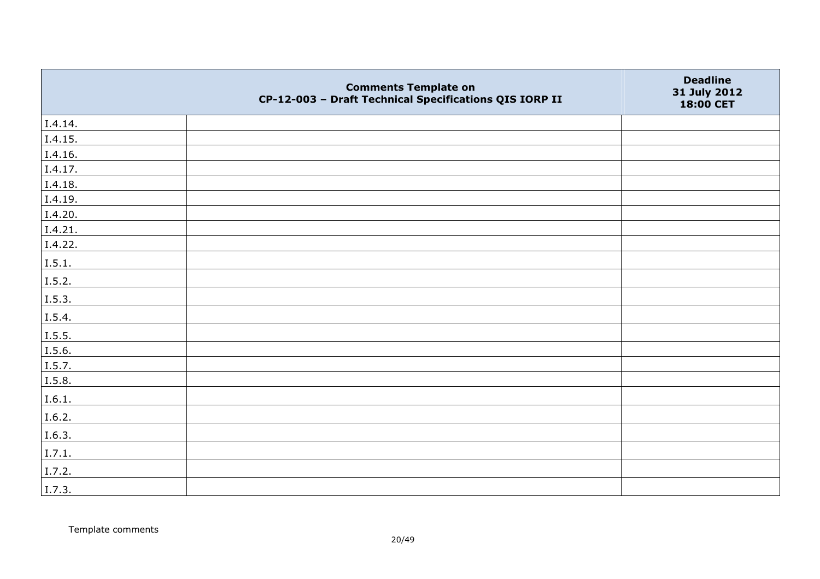|         | <b>Comments Template on</b><br>CP-12-003 - Draft Technical Specifications QIS IORP II | <b>Deadline</b><br>31 July 2012<br>18:00 CET |
|---------|---------------------------------------------------------------------------------------|----------------------------------------------|
| I.4.14. |                                                                                       |                                              |
| I.4.15. |                                                                                       |                                              |
| I.4.16. |                                                                                       |                                              |
| I.4.17. |                                                                                       |                                              |
| I.4.18. |                                                                                       |                                              |
| I.4.19. |                                                                                       |                                              |
| I.4.20. |                                                                                       |                                              |
| I.4.21. |                                                                                       |                                              |
| I.4.22. |                                                                                       |                                              |
| I.5.1.  |                                                                                       |                                              |
| I.5.2.  |                                                                                       |                                              |
| I.5.3.  |                                                                                       |                                              |
| I.5.4.  |                                                                                       |                                              |
| 1.5.5.  |                                                                                       |                                              |
| I.5.6.  |                                                                                       |                                              |
| I.5.7.  |                                                                                       |                                              |
| I.5.8.  |                                                                                       |                                              |
| I.6.1.  |                                                                                       |                                              |
| I.6.2.  |                                                                                       |                                              |
| I.6.3.  |                                                                                       |                                              |
| I.7.1.  |                                                                                       |                                              |
| I.7.2.  |                                                                                       |                                              |
| I.7.3.  |                                                                                       |                                              |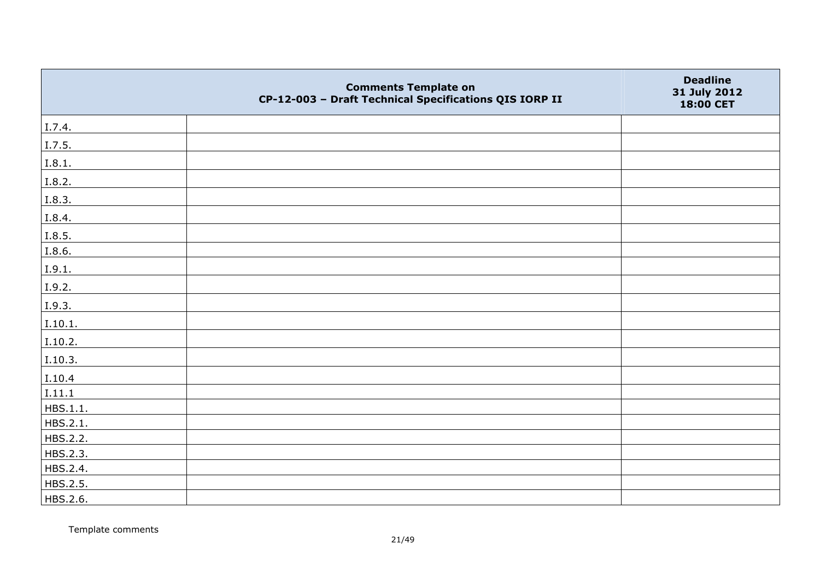|          | <b>Comments Template on</b><br>CP-12-003 - Draft Technical Specifications QIS IORP II | <b>Deadline</b><br>31 July 2012<br>18:00 CET |
|----------|---------------------------------------------------------------------------------------|----------------------------------------------|
| I.7.4.   |                                                                                       |                                              |
| I.7.5.   |                                                                                       |                                              |
| I.8.1.   |                                                                                       |                                              |
| I.8.2.   |                                                                                       |                                              |
| I.8.3.   |                                                                                       |                                              |
| I.8.4.   |                                                                                       |                                              |
| I.8.5.   |                                                                                       |                                              |
| I.8.6.   |                                                                                       |                                              |
| I.9.1.   |                                                                                       |                                              |
| I.9.2.   |                                                                                       |                                              |
| I.9.3.   |                                                                                       |                                              |
| I.10.1.  |                                                                                       |                                              |
| I.10.2.  |                                                                                       |                                              |
| I.10.3.  |                                                                                       |                                              |
| I.10.4   |                                                                                       |                                              |
| I.11.1   |                                                                                       |                                              |
| HBS.1.1. |                                                                                       |                                              |
| HBS.2.1. |                                                                                       |                                              |
| HBS.2.2. |                                                                                       |                                              |
| HBS.2.3. |                                                                                       |                                              |
| HBS.2.4. |                                                                                       |                                              |
| HBS.2.5. |                                                                                       |                                              |
| HBS.2.6. |                                                                                       |                                              |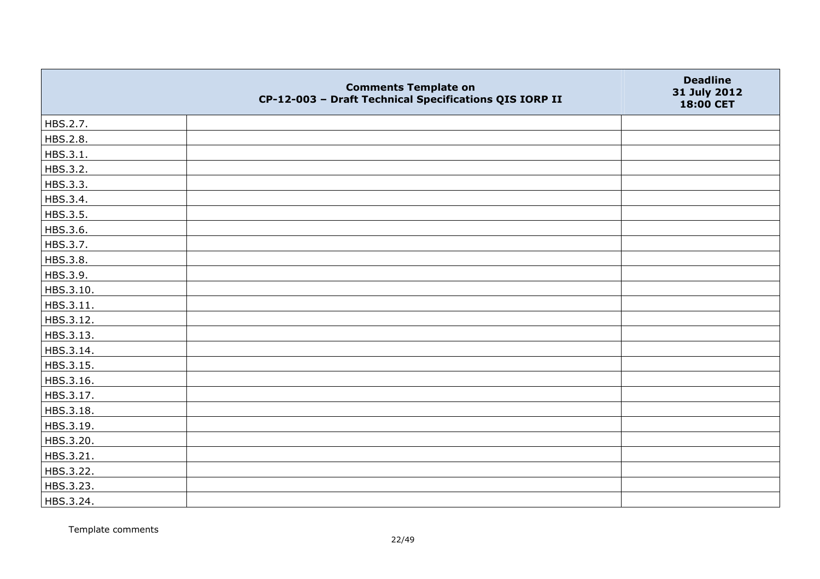|           | <b>Comments Template on</b><br>CP-12-003 - Draft Technical Specifications QIS IORP II | <b>Deadline</b><br>31 July 2012<br>18:00 CET |
|-----------|---------------------------------------------------------------------------------------|----------------------------------------------|
| HBS.2.7.  |                                                                                       |                                              |
| HBS.2.8.  |                                                                                       |                                              |
| HBS.3.1.  |                                                                                       |                                              |
| HBS.3.2.  |                                                                                       |                                              |
| HBS.3.3.  |                                                                                       |                                              |
| HBS.3.4.  |                                                                                       |                                              |
| HBS.3.5.  |                                                                                       |                                              |
| HBS.3.6.  |                                                                                       |                                              |
| HBS.3.7.  |                                                                                       |                                              |
| HBS.3.8.  |                                                                                       |                                              |
| HBS.3.9.  |                                                                                       |                                              |
| HBS.3.10. |                                                                                       |                                              |
| HBS.3.11. |                                                                                       |                                              |
| HBS.3.12. |                                                                                       |                                              |
| HBS.3.13. |                                                                                       |                                              |
| HBS.3.14. |                                                                                       |                                              |
| HBS.3.15. |                                                                                       |                                              |
| HBS.3.16. |                                                                                       |                                              |
| HBS.3.17. |                                                                                       |                                              |
| HBS.3.18. |                                                                                       |                                              |
| HBS.3.19. |                                                                                       |                                              |
| HBS.3.20. |                                                                                       |                                              |
| HBS.3.21. |                                                                                       |                                              |
| HBS.3.22. |                                                                                       |                                              |
| HBS.3.23. |                                                                                       |                                              |
| HBS.3.24. |                                                                                       |                                              |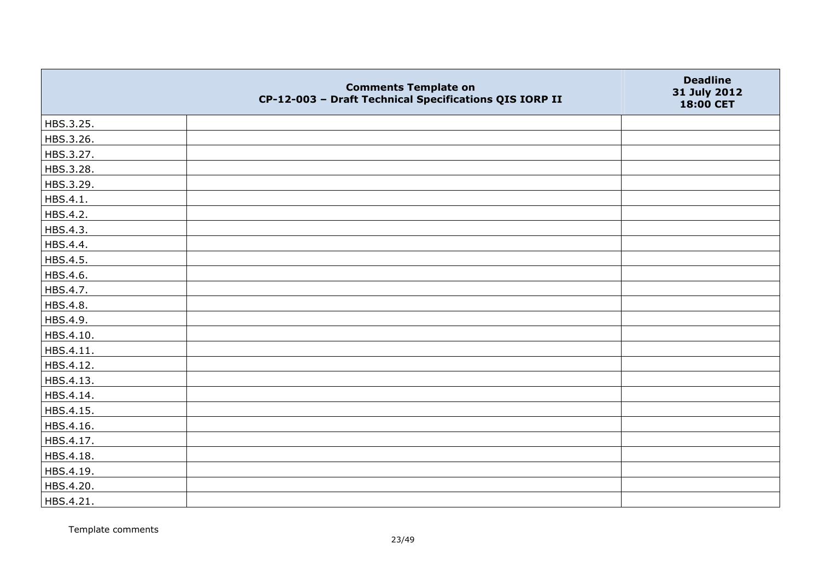|           | <b>Comments Template on</b><br>CP-12-003 - Draft Technical Specifications QIS IORP II | <b>Deadline</b><br>31 July 2012<br>18:00 CET |
|-----------|---------------------------------------------------------------------------------------|----------------------------------------------|
| HBS.3.25. |                                                                                       |                                              |
| HBS.3.26. |                                                                                       |                                              |
| HBS.3.27. |                                                                                       |                                              |
| HBS.3.28. |                                                                                       |                                              |
| HBS.3.29. |                                                                                       |                                              |
| HBS.4.1.  |                                                                                       |                                              |
| HBS.4.2.  |                                                                                       |                                              |
| HBS.4.3.  |                                                                                       |                                              |
| HBS.4.4.  |                                                                                       |                                              |
| HBS.4.5.  |                                                                                       |                                              |
| HBS.4.6.  |                                                                                       |                                              |
| HBS.4.7.  |                                                                                       |                                              |
| HBS.4.8.  |                                                                                       |                                              |
| HBS.4.9.  |                                                                                       |                                              |
| HBS.4.10. |                                                                                       |                                              |
| HBS.4.11. |                                                                                       |                                              |
| HBS.4.12. |                                                                                       |                                              |
| HBS.4.13. |                                                                                       |                                              |
| HBS.4.14. |                                                                                       |                                              |
| HBS.4.15. |                                                                                       |                                              |
| HBS.4.16. |                                                                                       |                                              |
| HBS.4.17. |                                                                                       |                                              |
| HBS.4.18. |                                                                                       |                                              |
| HBS.4.19. |                                                                                       |                                              |
| HBS.4.20. |                                                                                       |                                              |
| HBS.4.21. |                                                                                       |                                              |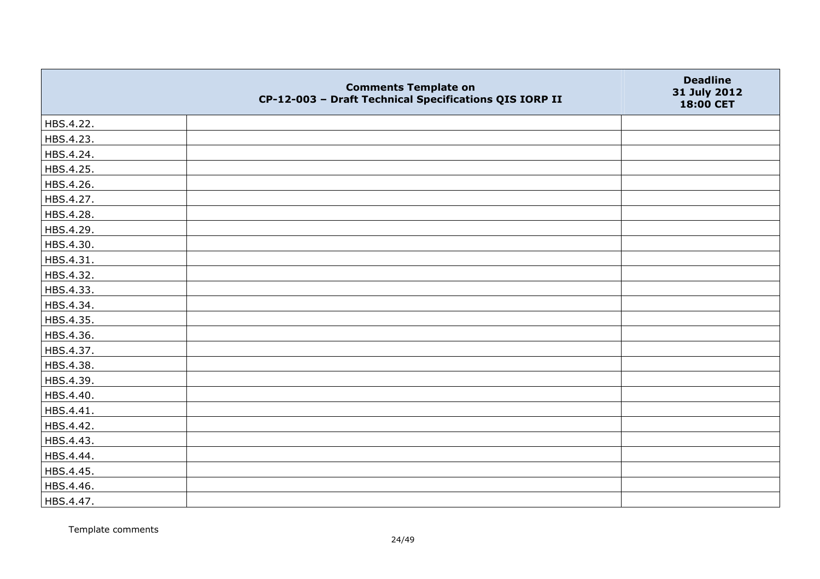|           | <b>Comments Template on</b><br>CP-12-003 - Draft Technical Specifications QIS IORP II | <b>Deadline</b><br>31 July 2012<br>18:00 CET |
|-----------|---------------------------------------------------------------------------------------|----------------------------------------------|
| HBS.4.22. |                                                                                       |                                              |
| HBS.4.23. |                                                                                       |                                              |
| HBS.4.24. |                                                                                       |                                              |
| HBS.4.25. |                                                                                       |                                              |
| HBS.4.26. |                                                                                       |                                              |
| HBS.4.27. |                                                                                       |                                              |
| HBS.4.28. |                                                                                       |                                              |
| HBS.4.29. |                                                                                       |                                              |
| HBS.4.30. |                                                                                       |                                              |
| HBS.4.31. |                                                                                       |                                              |
| HBS.4.32. |                                                                                       |                                              |
| HBS.4.33. |                                                                                       |                                              |
| HBS.4.34. |                                                                                       |                                              |
| HBS.4.35. |                                                                                       |                                              |
| HBS.4.36. |                                                                                       |                                              |
| HBS.4.37. |                                                                                       |                                              |
| HBS.4.38. |                                                                                       |                                              |
| HBS.4.39. |                                                                                       |                                              |
| HBS.4.40. |                                                                                       |                                              |
| HBS.4.41. |                                                                                       |                                              |
| HBS.4.42. |                                                                                       |                                              |
| HBS.4.43. |                                                                                       |                                              |
| HBS.4.44. |                                                                                       |                                              |
| HBS.4.45. |                                                                                       |                                              |
| HBS.4.46. |                                                                                       |                                              |
| HBS.4.47. |                                                                                       |                                              |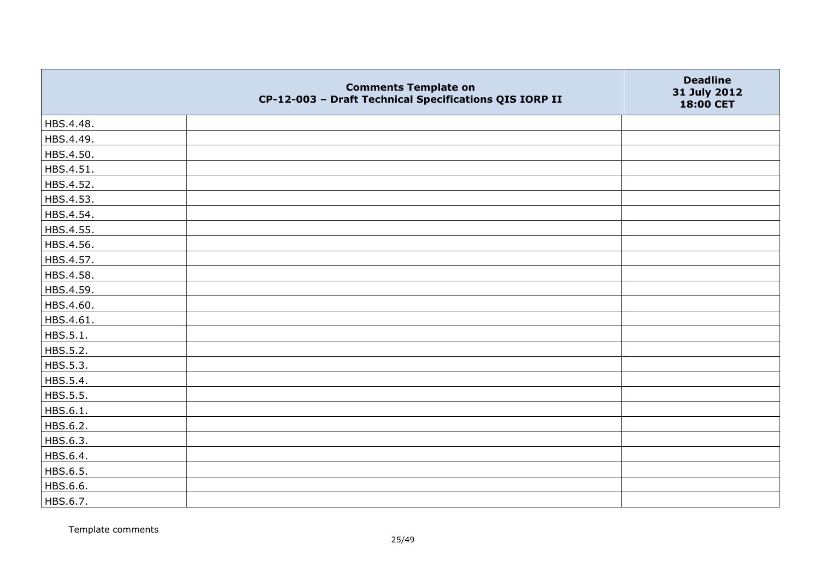|           | <b>Comments Template on</b><br>CP-12-003 - Draft Technical Specifications QIS IORP II | <b>Deadline</b><br>31 July 2012<br>18:00 CET |
|-----------|---------------------------------------------------------------------------------------|----------------------------------------------|
| HBS.4.48. |                                                                                       |                                              |
| HBS.4.49. |                                                                                       |                                              |
| HBS.4.50. |                                                                                       |                                              |
| HBS.4.51. |                                                                                       |                                              |
| HBS.4.52. |                                                                                       |                                              |
| HBS.4.53. |                                                                                       |                                              |
| HBS.4.54. |                                                                                       |                                              |
| HBS.4.55. |                                                                                       |                                              |
| HBS.4.56. |                                                                                       |                                              |
| HBS.4.57. |                                                                                       |                                              |
| HBS.4.58. |                                                                                       |                                              |
| HBS.4.59. |                                                                                       |                                              |
| HBS.4.60. |                                                                                       |                                              |
| HBS.4.61. |                                                                                       |                                              |
| HBS.5.1.  |                                                                                       |                                              |
| HBS.5.2.  |                                                                                       |                                              |
| HBS.5.3.  |                                                                                       |                                              |
| HBS.5.4.  |                                                                                       |                                              |
| HBS.5.5.  |                                                                                       |                                              |
| HBS.6.1.  |                                                                                       |                                              |
| HBS.6.2.  |                                                                                       |                                              |
| HBS.6.3.  |                                                                                       |                                              |
| HBS.6.4.  |                                                                                       |                                              |
| HBS.6.5.  |                                                                                       |                                              |
| HBS.6.6.  |                                                                                       |                                              |
| HBS.6.7.  |                                                                                       |                                              |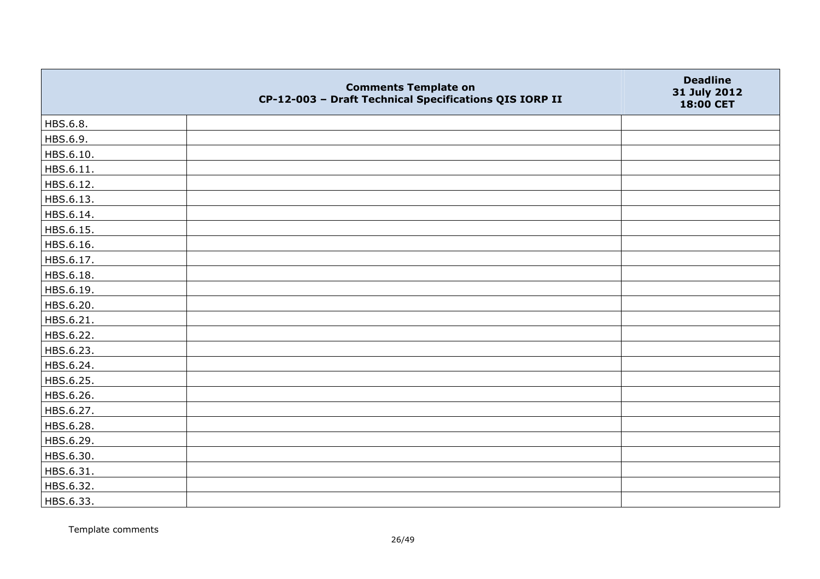|           | <b>Comments Template on</b><br>CP-12-003 - Draft Technical Specifications QIS IORP II | <b>Deadline</b><br>31 July 2012<br>18:00 CET |
|-----------|---------------------------------------------------------------------------------------|----------------------------------------------|
| HBS.6.8.  |                                                                                       |                                              |
| HBS.6.9.  |                                                                                       |                                              |
| HBS.6.10. |                                                                                       |                                              |
| HBS.6.11. |                                                                                       |                                              |
| HBS.6.12. |                                                                                       |                                              |
| HBS.6.13. |                                                                                       |                                              |
| HBS.6.14. |                                                                                       |                                              |
| HBS.6.15. |                                                                                       |                                              |
| HBS.6.16. |                                                                                       |                                              |
| HBS.6.17. |                                                                                       |                                              |
| HBS.6.18. |                                                                                       |                                              |
| HBS.6.19. |                                                                                       |                                              |
| HBS.6.20. |                                                                                       |                                              |
| HBS.6.21. |                                                                                       |                                              |
| HBS.6.22. |                                                                                       |                                              |
| HBS.6.23. |                                                                                       |                                              |
| HBS.6.24. |                                                                                       |                                              |
| HBS.6.25. |                                                                                       |                                              |
| HBS.6.26. |                                                                                       |                                              |
| HBS.6.27. |                                                                                       |                                              |
| HBS.6.28. |                                                                                       |                                              |
| HBS.6.29. |                                                                                       |                                              |
| HBS.6.30. |                                                                                       |                                              |
| HBS.6.31. |                                                                                       |                                              |
| HBS.6.32. |                                                                                       |                                              |
| HBS.6.33. |                                                                                       |                                              |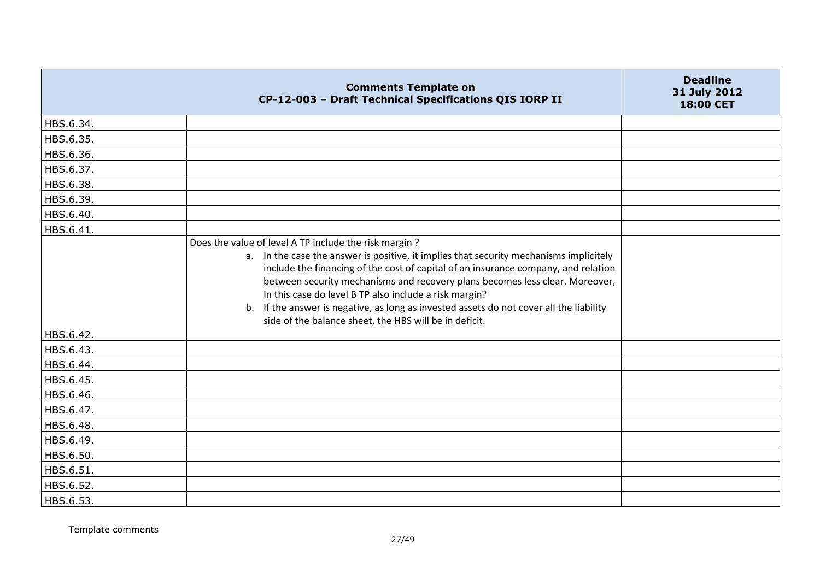|           | <b>Comments Template on</b><br>CP-12-003 - Draft Technical Specifications QIS IORP II                                                                                                                                                                                                                                                                                                                                                                                                                                                   | <b>Deadline</b><br>31 July 2012<br>18:00 CET |
|-----------|-----------------------------------------------------------------------------------------------------------------------------------------------------------------------------------------------------------------------------------------------------------------------------------------------------------------------------------------------------------------------------------------------------------------------------------------------------------------------------------------------------------------------------------------|----------------------------------------------|
| HBS.6.34. |                                                                                                                                                                                                                                                                                                                                                                                                                                                                                                                                         |                                              |
| HBS.6.35. |                                                                                                                                                                                                                                                                                                                                                                                                                                                                                                                                         |                                              |
| HBS.6.36. |                                                                                                                                                                                                                                                                                                                                                                                                                                                                                                                                         |                                              |
| HBS.6.37. |                                                                                                                                                                                                                                                                                                                                                                                                                                                                                                                                         |                                              |
| HBS.6.38. |                                                                                                                                                                                                                                                                                                                                                                                                                                                                                                                                         |                                              |
| HBS.6.39. |                                                                                                                                                                                                                                                                                                                                                                                                                                                                                                                                         |                                              |
| HBS.6.40. |                                                                                                                                                                                                                                                                                                                                                                                                                                                                                                                                         |                                              |
| HBS.6.41. |                                                                                                                                                                                                                                                                                                                                                                                                                                                                                                                                         |                                              |
|           | Does the value of level A TP include the risk margin?<br>a. In the case the answer is positive, it implies that security mechanisms implicitely<br>include the financing of the cost of capital of an insurance company, and relation<br>between security mechanisms and recovery plans becomes less clear. Moreover,<br>In this case do level B TP also include a risk margin?<br>If the answer is negative, as long as invested assets do not cover all the liability<br>b.<br>side of the balance sheet, the HBS will be in deficit. |                                              |
| HBS.6.42. |                                                                                                                                                                                                                                                                                                                                                                                                                                                                                                                                         |                                              |
| HBS.6.43. |                                                                                                                                                                                                                                                                                                                                                                                                                                                                                                                                         |                                              |
| HBS.6.44. |                                                                                                                                                                                                                                                                                                                                                                                                                                                                                                                                         |                                              |
| HBS.6.45. |                                                                                                                                                                                                                                                                                                                                                                                                                                                                                                                                         |                                              |
| HBS.6.46. |                                                                                                                                                                                                                                                                                                                                                                                                                                                                                                                                         |                                              |
| HBS.6.47. |                                                                                                                                                                                                                                                                                                                                                                                                                                                                                                                                         |                                              |
| HBS.6.48. |                                                                                                                                                                                                                                                                                                                                                                                                                                                                                                                                         |                                              |
| HBS.6.49. |                                                                                                                                                                                                                                                                                                                                                                                                                                                                                                                                         |                                              |
| HBS.6.50. |                                                                                                                                                                                                                                                                                                                                                                                                                                                                                                                                         |                                              |
| HBS.6.51. |                                                                                                                                                                                                                                                                                                                                                                                                                                                                                                                                         |                                              |
| HBS.6.52. |                                                                                                                                                                                                                                                                                                                                                                                                                                                                                                                                         |                                              |
| HBS.6.53. |                                                                                                                                                                                                                                                                                                                                                                                                                                                                                                                                         |                                              |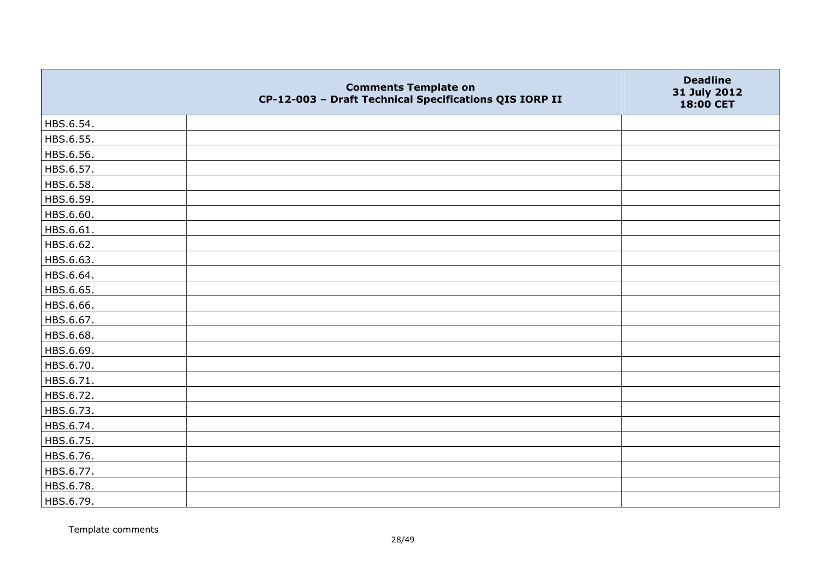|           | <b>Comments Template on</b><br>CP-12-003 - Draft Technical Specifications QIS IORP II | <b>Deadline</b><br>31 July 2012<br>18:00 CET |
|-----------|---------------------------------------------------------------------------------------|----------------------------------------------|
| HBS.6.54. |                                                                                       |                                              |
| HBS.6.55. |                                                                                       |                                              |
| HBS.6.56. |                                                                                       |                                              |
| HBS.6.57. |                                                                                       |                                              |
| HBS.6.58. |                                                                                       |                                              |
| HBS.6.59. |                                                                                       |                                              |
| HBS.6.60. |                                                                                       |                                              |
| HBS.6.61. |                                                                                       |                                              |
| HBS.6.62. |                                                                                       |                                              |
| HBS.6.63. |                                                                                       |                                              |
| HBS.6.64. |                                                                                       |                                              |
| HBS.6.65. |                                                                                       |                                              |
| HBS.6.66. |                                                                                       |                                              |
| HBS.6.67. |                                                                                       |                                              |
| HBS.6.68. |                                                                                       |                                              |
| HBS.6.69. |                                                                                       |                                              |
| HBS.6.70. |                                                                                       |                                              |
| HBS.6.71. |                                                                                       |                                              |
| HBS.6.72. |                                                                                       |                                              |
| HBS.6.73. |                                                                                       |                                              |
| HBS.6.74. |                                                                                       |                                              |
| HBS.6.75. |                                                                                       |                                              |
| HBS.6.76. |                                                                                       |                                              |
| HBS.6.77. |                                                                                       |                                              |
| HBS.6.78. |                                                                                       |                                              |
| HBS.6.79. |                                                                                       |                                              |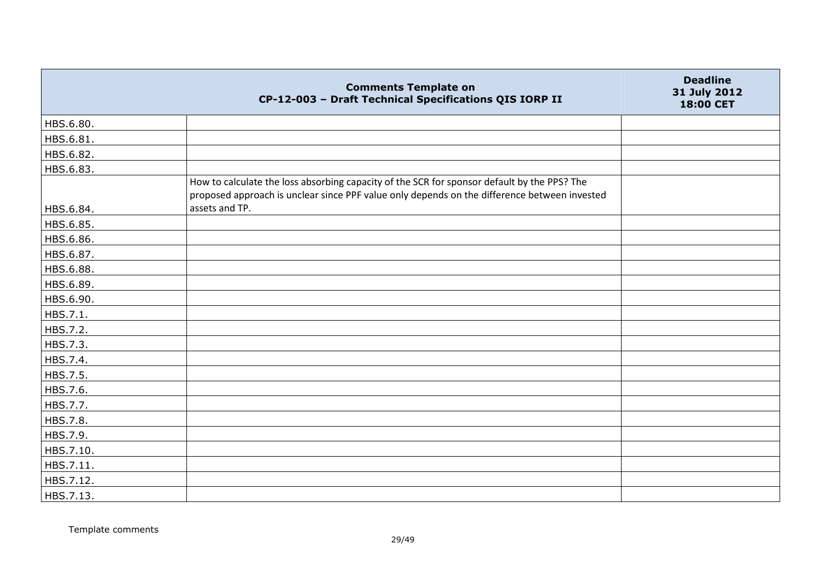|           | <b>Comments Template on</b><br>CP-12-003 - Draft Technical Specifications QIS IORP II                                                                                                       | <b>Deadline</b><br>31 July 2012<br>18:00 CET |
|-----------|---------------------------------------------------------------------------------------------------------------------------------------------------------------------------------------------|----------------------------------------------|
| HBS.6.80. |                                                                                                                                                                                             |                                              |
| HBS.6.81. |                                                                                                                                                                                             |                                              |
| HBS.6.82. |                                                                                                                                                                                             |                                              |
| HBS.6.83. |                                                                                                                                                                                             |                                              |
|           | How to calculate the loss absorbing capacity of the SCR for sponsor default by the PPS? The<br>proposed approach is unclear since PPF value only depends on the difference between invested |                                              |
| HBS.6.84. | assets and TP.                                                                                                                                                                              |                                              |
| HBS.6.85. |                                                                                                                                                                                             |                                              |
| HBS.6.86. |                                                                                                                                                                                             |                                              |
| HBS.6.87. |                                                                                                                                                                                             |                                              |
| HBS.6.88. |                                                                                                                                                                                             |                                              |
| HBS.6.89. |                                                                                                                                                                                             |                                              |
| HBS.6.90. |                                                                                                                                                                                             |                                              |
| HBS.7.1.  |                                                                                                                                                                                             |                                              |
| HBS.7.2.  |                                                                                                                                                                                             |                                              |
| HBS.7.3.  |                                                                                                                                                                                             |                                              |
| HBS.7.4.  |                                                                                                                                                                                             |                                              |
| HBS.7.5.  |                                                                                                                                                                                             |                                              |
| HBS.7.6.  |                                                                                                                                                                                             |                                              |
| HBS.7.7.  |                                                                                                                                                                                             |                                              |
| HBS.7.8.  |                                                                                                                                                                                             |                                              |
| HBS.7.9.  |                                                                                                                                                                                             |                                              |
| HBS.7.10. |                                                                                                                                                                                             |                                              |
| HBS.7.11. |                                                                                                                                                                                             |                                              |
| HBS.7.12. |                                                                                                                                                                                             |                                              |
| HBS.7.13. |                                                                                                                                                                                             |                                              |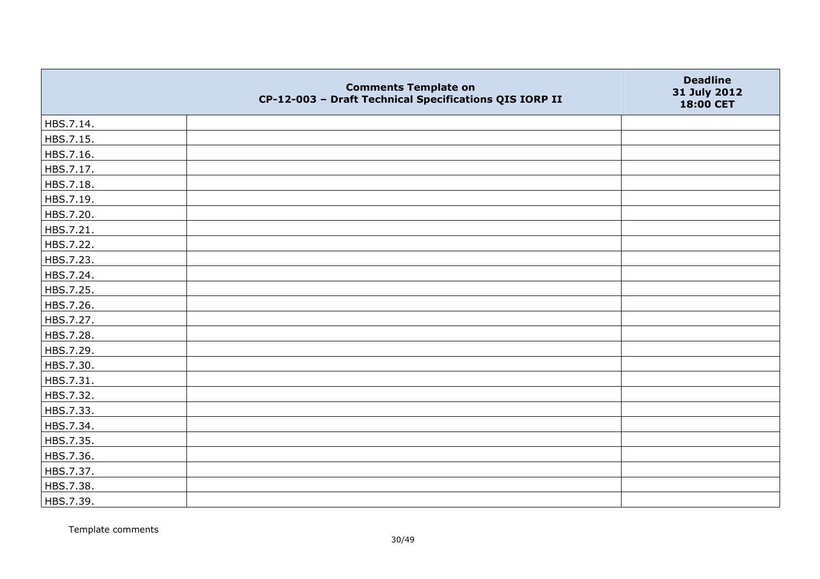|           | <b>Comments Template on</b><br>CP-12-003 - Draft Technical Specifications QIS IORP II | <b>Deadline</b><br>31 July 2012<br>18:00 CET |
|-----------|---------------------------------------------------------------------------------------|----------------------------------------------|
| HBS.7.14. |                                                                                       |                                              |
| HBS.7.15. |                                                                                       |                                              |
| HBS.7.16. |                                                                                       |                                              |
| HBS.7.17. |                                                                                       |                                              |
| HBS.7.18. |                                                                                       |                                              |
| HBS.7.19. |                                                                                       |                                              |
| HBS.7.20. |                                                                                       |                                              |
| HBS.7.21. |                                                                                       |                                              |
| HBS.7.22. |                                                                                       |                                              |
| HBS.7.23. |                                                                                       |                                              |
| HBS.7.24. |                                                                                       |                                              |
| HBS.7.25. |                                                                                       |                                              |
| HBS.7.26. |                                                                                       |                                              |
| HBS.7.27. |                                                                                       |                                              |
| HBS.7.28. |                                                                                       |                                              |
| HBS.7.29. |                                                                                       |                                              |
| HBS.7.30. |                                                                                       |                                              |
| HBS.7.31. |                                                                                       |                                              |
| HBS.7.32. |                                                                                       |                                              |
| HBS.7.33. |                                                                                       |                                              |
| HBS.7.34. |                                                                                       |                                              |
| HBS.7.35. |                                                                                       |                                              |
| HBS.7.36. |                                                                                       |                                              |
| HBS.7.37. |                                                                                       |                                              |
| HBS.7.38. |                                                                                       |                                              |
| HBS.7.39. |                                                                                       |                                              |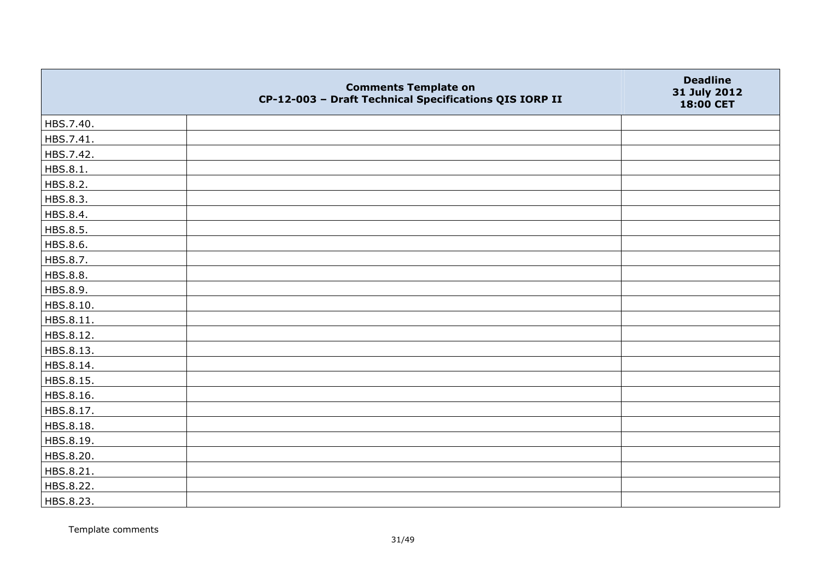|           | <b>Comments Template on</b><br>CP-12-003 - Draft Technical Specifications QIS IORP II | <b>Deadline</b><br>31 July 2012<br>18:00 CET |
|-----------|---------------------------------------------------------------------------------------|----------------------------------------------|
| HBS.7.40. |                                                                                       |                                              |
| HBS.7.41. |                                                                                       |                                              |
| HBS.7.42. |                                                                                       |                                              |
| HBS.8.1.  |                                                                                       |                                              |
| HBS.8.2.  |                                                                                       |                                              |
| HBS.8.3.  |                                                                                       |                                              |
| HBS.8.4.  |                                                                                       |                                              |
| HBS.8.5.  |                                                                                       |                                              |
| HBS.8.6.  |                                                                                       |                                              |
| HBS.8.7.  |                                                                                       |                                              |
| HBS.8.8.  |                                                                                       |                                              |
| HBS.8.9.  |                                                                                       |                                              |
| HBS.8.10. |                                                                                       |                                              |
| HBS.8.11. |                                                                                       |                                              |
| HBS.8.12. |                                                                                       |                                              |
| HBS.8.13. |                                                                                       |                                              |
| HBS.8.14. |                                                                                       |                                              |
| HBS.8.15. |                                                                                       |                                              |
| HBS.8.16. |                                                                                       |                                              |
| HBS.8.17. |                                                                                       |                                              |
| HBS.8.18. |                                                                                       |                                              |
| HBS.8.19. |                                                                                       |                                              |
| HBS.8.20. |                                                                                       |                                              |
| HBS.8.21. |                                                                                       |                                              |
| HBS.8.22. |                                                                                       |                                              |
| HBS.8.23. |                                                                                       |                                              |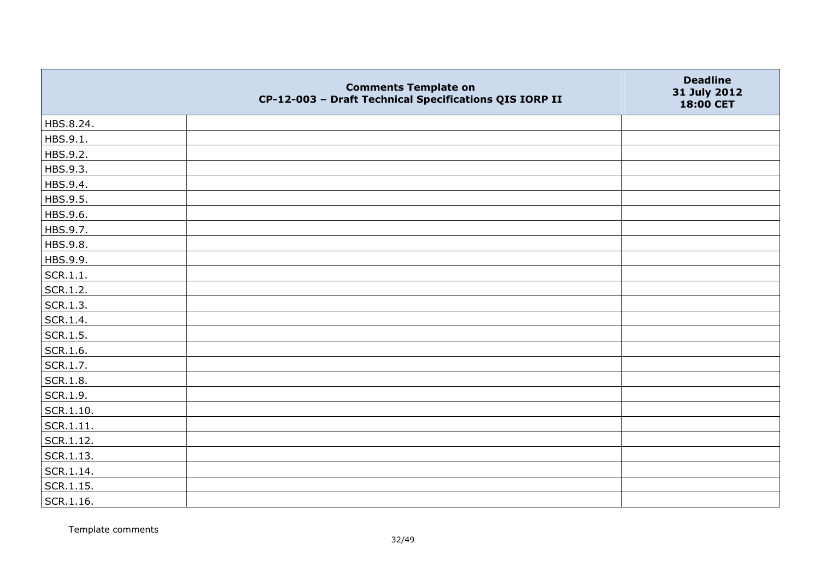|                 | <b>Comments Template on</b><br>CP-12-003 - Draft Technical Specifications QIS IORP II | <b>Deadline</b><br>31 July 2012<br>18:00 CET |
|-----------------|---------------------------------------------------------------------------------------|----------------------------------------------|
| HBS.8.24.       |                                                                                       |                                              |
| HBS.9.1.        |                                                                                       |                                              |
| HBS.9.2.        |                                                                                       |                                              |
| HBS.9.3.        |                                                                                       |                                              |
| HBS.9.4.        |                                                                                       |                                              |
| HBS.9.5.        |                                                                                       |                                              |
| HBS.9.6.        |                                                                                       |                                              |
| HBS.9.7.        |                                                                                       |                                              |
| HBS.9.8.        |                                                                                       |                                              |
| HBS.9.9.        |                                                                                       |                                              |
| SCR.1.1.        |                                                                                       |                                              |
| SCR.1.2.        |                                                                                       |                                              |
| SCR.1.3.        |                                                                                       |                                              |
| SCR.1.4.        |                                                                                       |                                              |
| SCR.1.5.        |                                                                                       |                                              |
| SCR.1.6.        |                                                                                       |                                              |
| SCR.1.7.        |                                                                                       |                                              |
| <b>SCR.1.8.</b> |                                                                                       |                                              |
| SCR.1.9.        |                                                                                       |                                              |
| SCR.1.10.       |                                                                                       |                                              |
| SCR.1.11.       |                                                                                       |                                              |
| SCR.1.12.       |                                                                                       |                                              |
| SCR.1.13.       |                                                                                       |                                              |
| SCR.1.14.       |                                                                                       |                                              |
| SCR.1.15.       |                                                                                       |                                              |
| SCR.1.16.       |                                                                                       |                                              |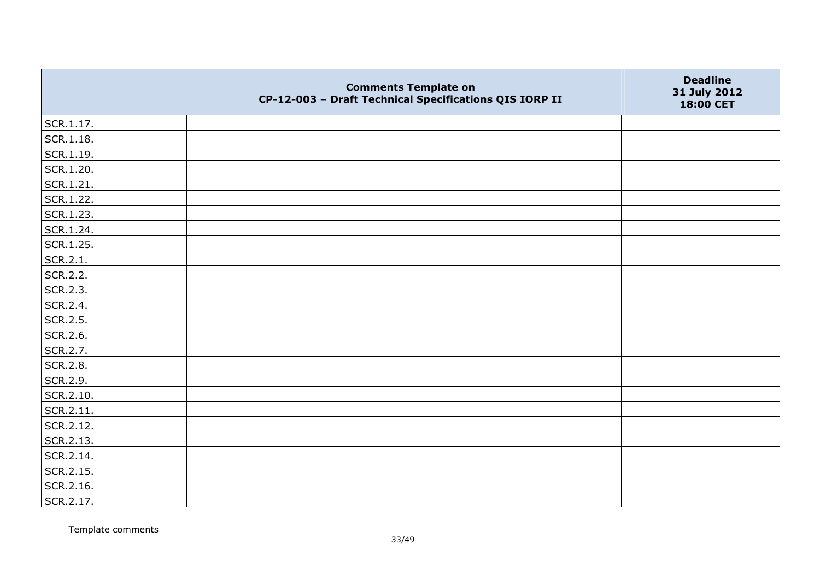|           | <b>Comments Template on</b><br>CP-12-003 - Draft Technical Specifications QIS IORP II | <b>Deadline</b><br>31 July 2012<br>18:00 CET |
|-----------|---------------------------------------------------------------------------------------|----------------------------------------------|
| SCR.1.17. |                                                                                       |                                              |
| SCR.1.18. |                                                                                       |                                              |
| SCR.1.19. |                                                                                       |                                              |
| SCR.1.20. |                                                                                       |                                              |
| SCR.1.21. |                                                                                       |                                              |
| SCR.1.22. |                                                                                       |                                              |
| SCR.1.23. |                                                                                       |                                              |
| SCR.1.24. |                                                                                       |                                              |
| SCR.1.25. |                                                                                       |                                              |
| SCR.2.1.  |                                                                                       |                                              |
| SCR.2.2.  |                                                                                       |                                              |
| SCR.2.3.  |                                                                                       |                                              |
| SCR.2.4.  |                                                                                       |                                              |
| SCR.2.5.  |                                                                                       |                                              |
| SCR.2.6.  |                                                                                       |                                              |
| SCR.2.7.  |                                                                                       |                                              |
| SCR.2.8.  |                                                                                       |                                              |
| SCR.2.9.  |                                                                                       |                                              |
| SCR.2.10. |                                                                                       |                                              |
| SCR.2.11. |                                                                                       |                                              |
| SCR.2.12. |                                                                                       |                                              |
| SCR.2.13. |                                                                                       |                                              |
| SCR.2.14. |                                                                                       |                                              |
| SCR.2.15. |                                                                                       |                                              |
| SCR.2.16. |                                                                                       |                                              |
| SCR.2.17. |                                                                                       |                                              |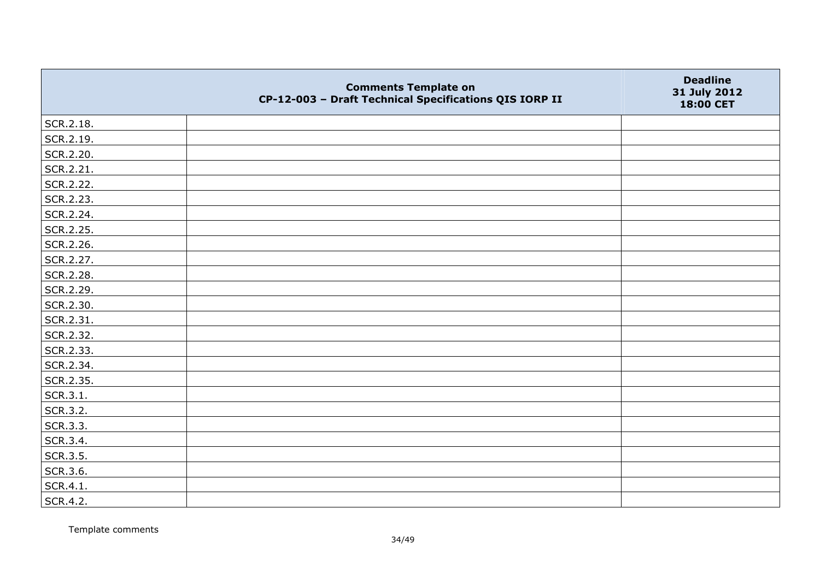|           | <b>Comments Template on</b><br>CP-12-003 - Draft Technical Specifications QIS IORP II | <b>Deadline</b><br>31 July 2012<br>18:00 CET |
|-----------|---------------------------------------------------------------------------------------|----------------------------------------------|
| SCR.2.18. |                                                                                       |                                              |
| SCR.2.19. |                                                                                       |                                              |
| SCR.2.20. |                                                                                       |                                              |
| SCR.2.21. |                                                                                       |                                              |
| SCR.2.22. |                                                                                       |                                              |
| SCR.2.23. |                                                                                       |                                              |
| SCR.2.24. |                                                                                       |                                              |
| SCR.2.25. |                                                                                       |                                              |
| SCR.2.26. |                                                                                       |                                              |
| SCR.2.27. |                                                                                       |                                              |
| SCR.2.28. |                                                                                       |                                              |
| SCR.2.29. |                                                                                       |                                              |
| SCR.2.30. |                                                                                       |                                              |
| SCR.2.31. |                                                                                       |                                              |
| SCR.2.32. |                                                                                       |                                              |
| SCR.2.33. |                                                                                       |                                              |
| SCR.2.34. |                                                                                       |                                              |
| SCR.2.35. |                                                                                       |                                              |
| SCR.3.1.  |                                                                                       |                                              |
| SCR.3.2.  |                                                                                       |                                              |
| SCR.3.3.  |                                                                                       |                                              |
| SCR.3.4.  |                                                                                       |                                              |
| SCR.3.5.  |                                                                                       |                                              |
| SCR.3.6.  |                                                                                       |                                              |
| SCR.4.1.  |                                                                                       |                                              |
| SCR.4.2.  |                                                                                       |                                              |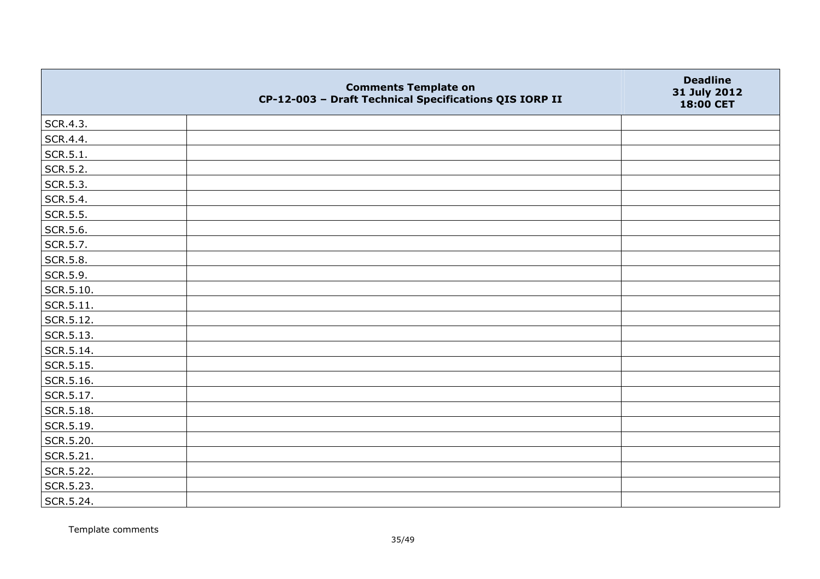|                   | <b>Comments Template on</b><br>CP-12-003 - Draft Technical Specifications QIS IORP II | <b>Deadline</b><br>31 July 2012<br>18:00 CET |
|-------------------|---------------------------------------------------------------------------------------|----------------------------------------------|
| SCR.4.3.          |                                                                                       |                                              |
| SCR.4.4.          |                                                                                       |                                              |
| SCR.5.1.          |                                                                                       |                                              |
| SCR.5.2.          |                                                                                       |                                              |
| SCR.5.3.          |                                                                                       |                                              |
| SCR.5.4.          |                                                                                       |                                              |
| SCR.5.5.          |                                                                                       |                                              |
| SCR.5.6.          |                                                                                       |                                              |
| SCR.5.7.          |                                                                                       |                                              |
| SCR.5.8.          |                                                                                       |                                              |
| SCR.5.9.          |                                                                                       |                                              |
| SCR.5.10.         |                                                                                       |                                              |
| $\vert$ SCR.5.11. |                                                                                       |                                              |
| SCR.5.12.         |                                                                                       |                                              |
| $\vert$ SCR.5.13. |                                                                                       |                                              |
| SCR.5.14.         |                                                                                       |                                              |
| SCR.5.15.         |                                                                                       |                                              |
| SCR.5.16.         |                                                                                       |                                              |
| SCR.5.17.         |                                                                                       |                                              |
| SCR.5.18.         |                                                                                       |                                              |
| SCR.5.19.         |                                                                                       |                                              |
| SCR.5.20.         |                                                                                       |                                              |
| SCR.5.21.         |                                                                                       |                                              |
| SCR.5.22.         |                                                                                       |                                              |
| SCR.5.23.         |                                                                                       |                                              |
| SCR.5.24.         |                                                                                       |                                              |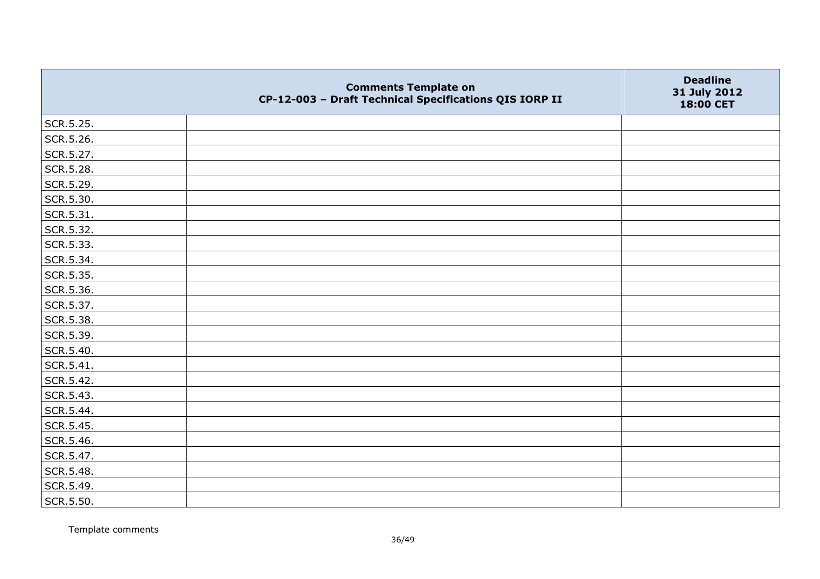|           | <b>Comments Template on</b><br>CP-12-003 - Draft Technical Specifications QIS IORP II | <b>Deadline</b><br>31 July 2012<br>18:00 CET |
|-----------|---------------------------------------------------------------------------------------|----------------------------------------------|
| SCR.5.25. |                                                                                       |                                              |
| SCR.5.26. |                                                                                       |                                              |
| SCR.5.27. |                                                                                       |                                              |
| SCR.5.28. |                                                                                       |                                              |
| SCR.5.29. |                                                                                       |                                              |
| SCR.5.30. |                                                                                       |                                              |
| SCR.5.31. |                                                                                       |                                              |
| SCR.5.32. |                                                                                       |                                              |
| SCR.5.33. |                                                                                       |                                              |
| SCR.5.34. |                                                                                       |                                              |
| SCR.5.35. |                                                                                       |                                              |
| SCR.5.36. |                                                                                       |                                              |
| SCR.5.37. |                                                                                       |                                              |
| SCR.5.38. |                                                                                       |                                              |
| SCR.5.39. |                                                                                       |                                              |
| SCR.5.40. |                                                                                       |                                              |
| SCR.5.41. |                                                                                       |                                              |
| SCR.5.42. |                                                                                       |                                              |
| SCR.5.43. |                                                                                       |                                              |
| SCR.5.44. |                                                                                       |                                              |
| SCR.5.45. |                                                                                       |                                              |
| SCR.5.46. |                                                                                       |                                              |
| SCR.5.47. |                                                                                       |                                              |
| SCR.5.48. |                                                                                       |                                              |
| SCR.5.49. |                                                                                       |                                              |
| SCR.5.50. |                                                                                       |                                              |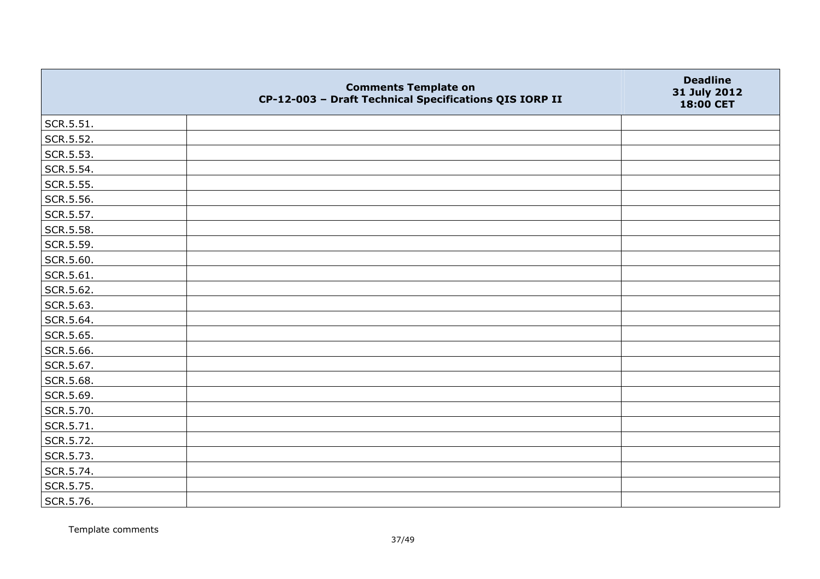|           | <b>Comments Template on</b><br>CP-12-003 - Draft Technical Specifications QIS IORP II | <b>Deadline</b><br>31 July 2012<br>18:00 CET |
|-----------|---------------------------------------------------------------------------------------|----------------------------------------------|
| SCR.5.51. |                                                                                       |                                              |
| SCR.5.52. |                                                                                       |                                              |
| SCR.5.53. |                                                                                       |                                              |
| SCR.5.54. |                                                                                       |                                              |
| SCR.5.55. |                                                                                       |                                              |
| SCR.5.56. |                                                                                       |                                              |
| SCR.5.57. |                                                                                       |                                              |
| SCR.5.58. |                                                                                       |                                              |
| SCR.5.59. |                                                                                       |                                              |
| SCR.5.60. |                                                                                       |                                              |
| SCR.5.61. |                                                                                       |                                              |
| SCR.5.62. |                                                                                       |                                              |
| SCR.5.63. |                                                                                       |                                              |
| SCR.5.64. |                                                                                       |                                              |
| SCR.5.65. |                                                                                       |                                              |
| SCR.5.66. |                                                                                       |                                              |
| SCR.5.67. |                                                                                       |                                              |
| SCR.5.68. |                                                                                       |                                              |
| SCR.5.69. |                                                                                       |                                              |
| SCR.5.70. |                                                                                       |                                              |
| SCR.5.71. |                                                                                       |                                              |
| SCR.5.72. |                                                                                       |                                              |
| SCR.5.73. |                                                                                       |                                              |
| SCR.5.74. |                                                                                       |                                              |
| SCR.5.75. |                                                                                       |                                              |
| SCR.5.76. |                                                                                       |                                              |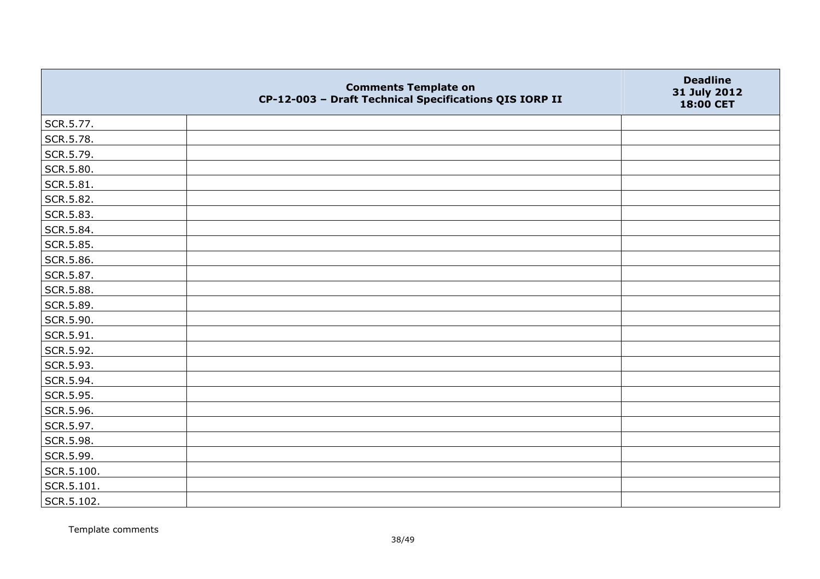|            | <b>Comments Template on</b><br>CP-12-003 - Draft Technical Specifications QIS IORP II | <b>Deadline</b><br>31 July 2012<br>18:00 CET |
|------------|---------------------------------------------------------------------------------------|----------------------------------------------|
| SCR.5.77.  |                                                                                       |                                              |
| SCR.5.78.  |                                                                                       |                                              |
| SCR.5.79.  |                                                                                       |                                              |
| SCR.5.80.  |                                                                                       |                                              |
| SCR.5.81.  |                                                                                       |                                              |
| SCR.5.82.  |                                                                                       |                                              |
| SCR.5.83.  |                                                                                       |                                              |
| SCR.5.84.  |                                                                                       |                                              |
| SCR.5.85.  |                                                                                       |                                              |
| SCR.5.86.  |                                                                                       |                                              |
| SCR.5.87.  |                                                                                       |                                              |
| SCR.5.88.  |                                                                                       |                                              |
| SCR.5.89.  |                                                                                       |                                              |
| SCR.5.90.  |                                                                                       |                                              |
| SCR.5.91.  |                                                                                       |                                              |
| SCR.5.92.  |                                                                                       |                                              |
| SCR.5.93.  |                                                                                       |                                              |
| SCR.5.94.  |                                                                                       |                                              |
| SCR.5.95.  |                                                                                       |                                              |
| SCR.5.96.  |                                                                                       |                                              |
| SCR.5.97.  |                                                                                       |                                              |
| SCR.5.98.  |                                                                                       |                                              |
| SCR.5.99.  |                                                                                       |                                              |
| SCR.5.100. |                                                                                       |                                              |
| SCR.5.101. |                                                                                       |                                              |
| SCR.5.102. |                                                                                       |                                              |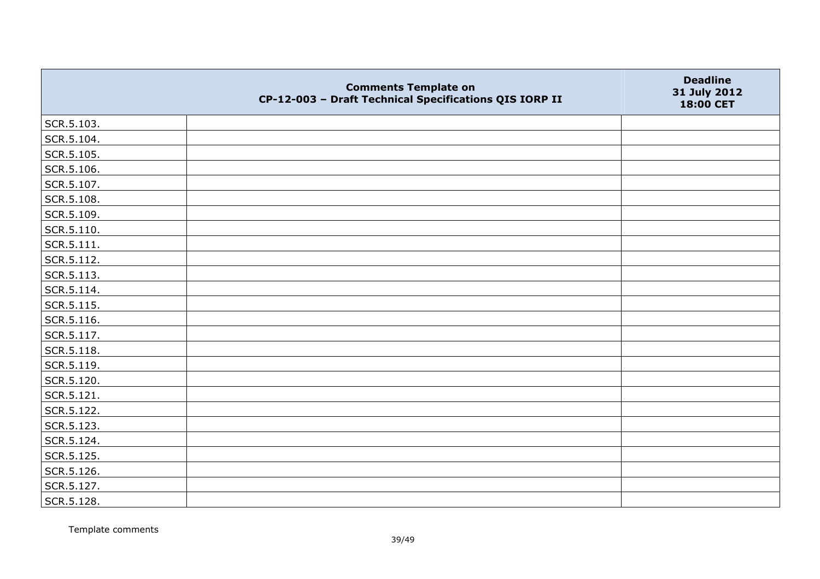|            | <b>Comments Template on</b><br>CP-12-003 - Draft Technical Specifications QIS IORP II | <b>Deadline</b><br>31 July 2012<br>18:00 CET |
|------------|---------------------------------------------------------------------------------------|----------------------------------------------|
| SCR.5.103. |                                                                                       |                                              |
| SCR.5.104. |                                                                                       |                                              |
| SCR.5.105. |                                                                                       |                                              |
| SCR.5.106. |                                                                                       |                                              |
| SCR.5.107. |                                                                                       |                                              |
| SCR.5.108. |                                                                                       |                                              |
| SCR.5.109. |                                                                                       |                                              |
| SCR.5.110. |                                                                                       |                                              |
| SCR.5.111. |                                                                                       |                                              |
| SCR.5.112. |                                                                                       |                                              |
| SCR.5.113. |                                                                                       |                                              |
| SCR.5.114. |                                                                                       |                                              |
| SCR.5.115. |                                                                                       |                                              |
| SCR.5.116. |                                                                                       |                                              |
| SCR.5.117. |                                                                                       |                                              |
| SCR.5.118. |                                                                                       |                                              |
| SCR.5.119. |                                                                                       |                                              |
| SCR.5.120. |                                                                                       |                                              |
| SCR.5.121. |                                                                                       |                                              |
| SCR.5.122. |                                                                                       |                                              |
| SCR.5.123. |                                                                                       |                                              |
| SCR.5.124. |                                                                                       |                                              |
| SCR.5.125. |                                                                                       |                                              |
| SCR.5.126. |                                                                                       |                                              |
| SCR.5.127. |                                                                                       |                                              |
| SCR.5.128. |                                                                                       |                                              |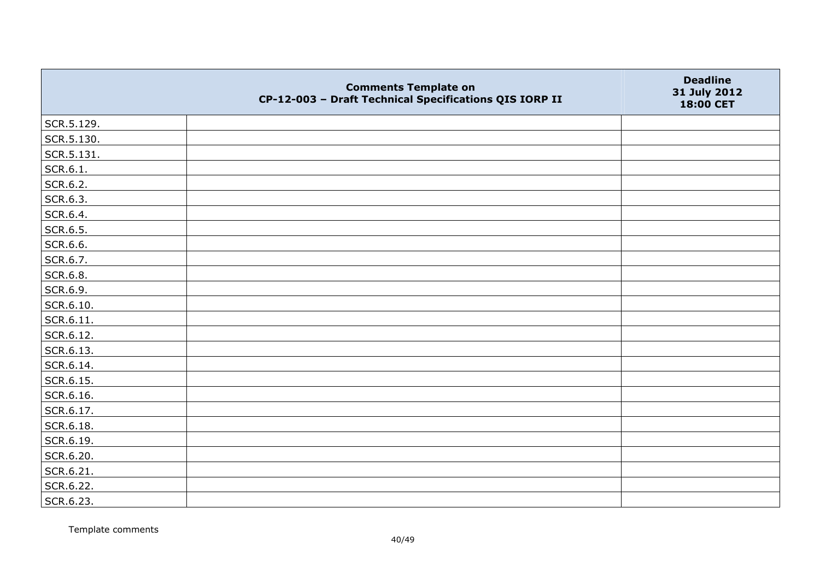|            | <b>Comments Template on</b><br>CP-12-003 - Draft Technical Specifications QIS IORP II | <b>Deadline</b><br>31 July 2012<br>18:00 CET |
|------------|---------------------------------------------------------------------------------------|----------------------------------------------|
| SCR.5.129. |                                                                                       |                                              |
| SCR.5.130. |                                                                                       |                                              |
| SCR.5.131. |                                                                                       |                                              |
| SCR.6.1.   |                                                                                       |                                              |
| SCR.6.2.   |                                                                                       |                                              |
| SCR.6.3.   |                                                                                       |                                              |
| SCR.6.4.   |                                                                                       |                                              |
| SCR.6.5.   |                                                                                       |                                              |
| SCR.6.6.   |                                                                                       |                                              |
| SCR.6.7.   |                                                                                       |                                              |
| SCR.6.8.   |                                                                                       |                                              |
| SCR.6.9.   |                                                                                       |                                              |
| SCR.6.10.  |                                                                                       |                                              |
| SCR.6.11.  |                                                                                       |                                              |
| SCR.6.12.  |                                                                                       |                                              |
| SCR.6.13.  |                                                                                       |                                              |
| SCR.6.14.  |                                                                                       |                                              |
| SCR.6.15.  |                                                                                       |                                              |
| SCR.6.16.  |                                                                                       |                                              |
| SCR.6.17.  |                                                                                       |                                              |
| SCR.6.18.  |                                                                                       |                                              |
| SCR.6.19.  |                                                                                       |                                              |
| SCR.6.20.  |                                                                                       |                                              |
| SCR.6.21.  |                                                                                       |                                              |
| SCR.6.22.  |                                                                                       |                                              |
| SCR.6.23.  |                                                                                       |                                              |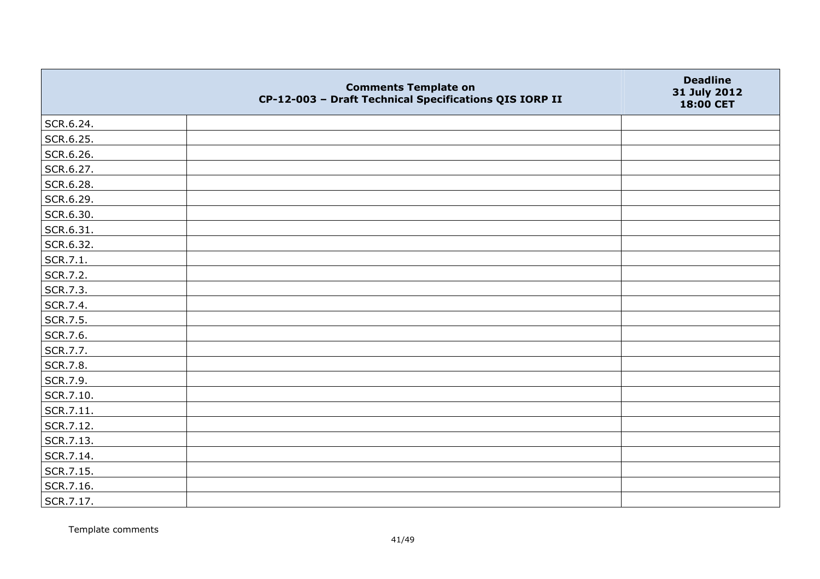|           | <b>Comments Template on</b><br>CP-12-003 - Draft Technical Specifications QIS IORP II | <b>Deadline</b><br>31 July 2012<br>18:00 CET |
|-----------|---------------------------------------------------------------------------------------|----------------------------------------------|
| SCR.6.24. |                                                                                       |                                              |
| SCR.6.25. |                                                                                       |                                              |
| SCR.6.26. |                                                                                       |                                              |
| SCR.6.27. |                                                                                       |                                              |
| SCR.6.28. |                                                                                       |                                              |
| SCR.6.29. |                                                                                       |                                              |
| SCR.6.30. |                                                                                       |                                              |
| SCR.6.31. |                                                                                       |                                              |
| SCR.6.32. |                                                                                       |                                              |
| SCR.7.1.  |                                                                                       |                                              |
| SCR.7.2.  |                                                                                       |                                              |
| SCR.7.3.  |                                                                                       |                                              |
| SCR.7.4.  |                                                                                       |                                              |
| SCR.7.5.  |                                                                                       |                                              |
| SCR.7.6.  |                                                                                       |                                              |
| SCR.7.7.  |                                                                                       |                                              |
| SCR.7.8.  |                                                                                       |                                              |
| SCR.7.9.  |                                                                                       |                                              |
| SCR.7.10. |                                                                                       |                                              |
| SCR.7.11. |                                                                                       |                                              |
| SCR.7.12. |                                                                                       |                                              |
| SCR.7.13. |                                                                                       |                                              |
| SCR.7.14. |                                                                                       |                                              |
| SCR.7.15. |                                                                                       |                                              |
| SCR.7.16. |                                                                                       |                                              |
| SCR.7.17. |                                                                                       |                                              |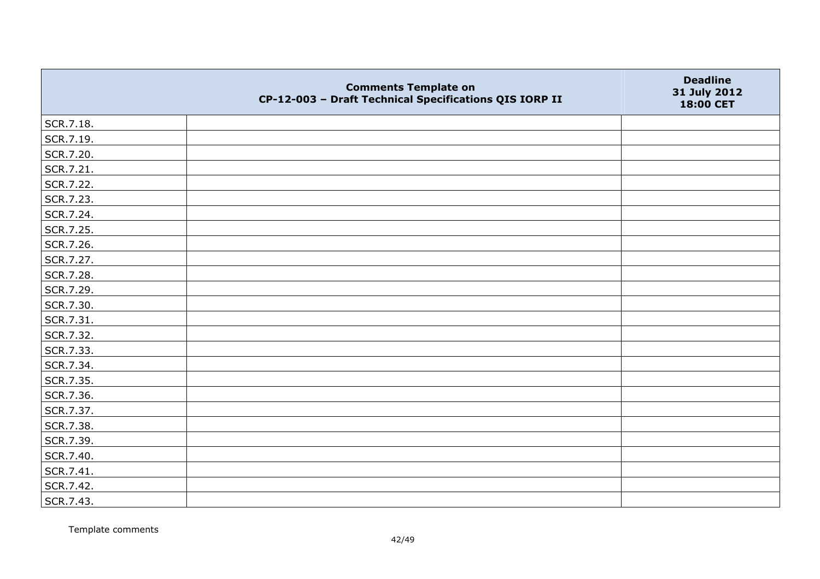|           | <b>Comments Template on</b><br>CP-12-003 - Draft Technical Specifications QIS IORP II | <b>Deadline</b><br>31 July 2012<br>18:00 CET |
|-----------|---------------------------------------------------------------------------------------|----------------------------------------------|
| SCR.7.18. |                                                                                       |                                              |
| SCR.7.19. |                                                                                       |                                              |
| SCR.7.20. |                                                                                       |                                              |
| SCR.7.21. |                                                                                       |                                              |
| SCR.7.22. |                                                                                       |                                              |
| SCR.7.23. |                                                                                       |                                              |
| SCR.7.24. |                                                                                       |                                              |
| SCR.7.25. |                                                                                       |                                              |
| SCR.7.26. |                                                                                       |                                              |
| SCR.7.27. |                                                                                       |                                              |
| SCR.7.28. |                                                                                       |                                              |
| SCR.7.29. |                                                                                       |                                              |
| SCR.7.30. |                                                                                       |                                              |
| SCR.7.31. |                                                                                       |                                              |
| SCR.7.32. |                                                                                       |                                              |
| SCR.7.33. |                                                                                       |                                              |
| SCR.7.34. |                                                                                       |                                              |
| SCR.7.35. |                                                                                       |                                              |
| SCR.7.36. |                                                                                       |                                              |
| SCR.7.37. |                                                                                       |                                              |
| SCR.7.38. |                                                                                       |                                              |
| SCR.7.39. |                                                                                       |                                              |
| SCR.7.40. |                                                                                       |                                              |
| SCR.7.41. |                                                                                       |                                              |
| SCR.7.42. |                                                                                       |                                              |
| SCR.7.43. |                                                                                       |                                              |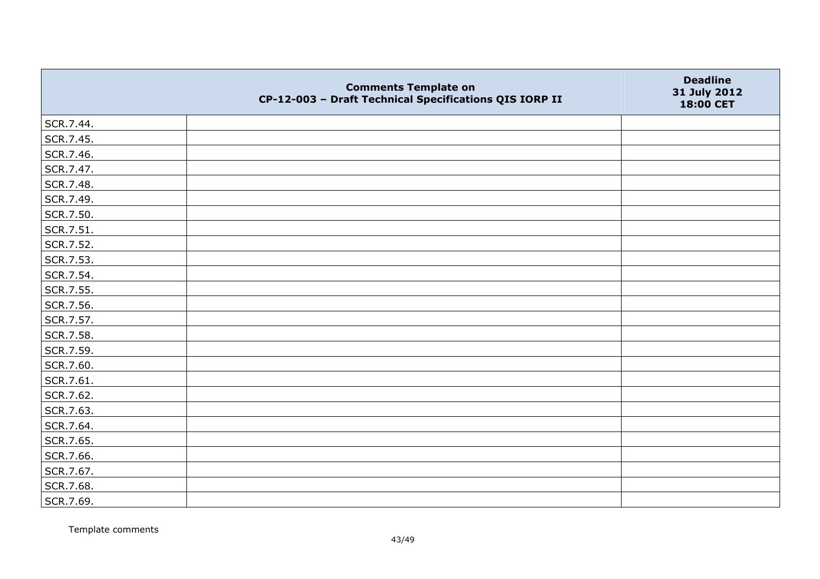|           | <b>Comments Template on</b><br>CP-12-003 - Draft Technical Specifications QIS IORP II | <b>Deadline</b><br>31 July 2012<br>18:00 CET |
|-----------|---------------------------------------------------------------------------------------|----------------------------------------------|
| SCR.7.44. |                                                                                       |                                              |
| SCR.7.45. |                                                                                       |                                              |
| SCR.7.46. |                                                                                       |                                              |
| SCR.7.47. |                                                                                       |                                              |
| SCR.7.48. |                                                                                       |                                              |
| SCR.7.49. |                                                                                       |                                              |
| SCR.7.50. |                                                                                       |                                              |
| SCR.7.51. |                                                                                       |                                              |
| SCR.7.52. |                                                                                       |                                              |
| SCR.7.53. |                                                                                       |                                              |
| SCR.7.54. |                                                                                       |                                              |
| SCR.7.55. |                                                                                       |                                              |
| SCR.7.56. |                                                                                       |                                              |
| SCR.7.57. |                                                                                       |                                              |
| SCR.7.58. |                                                                                       |                                              |
| SCR.7.59. |                                                                                       |                                              |
| SCR.7.60. |                                                                                       |                                              |
| SCR.7.61. |                                                                                       |                                              |
| SCR.7.62. |                                                                                       |                                              |
| SCR.7.63. |                                                                                       |                                              |
| SCR.7.64. |                                                                                       |                                              |
| SCR.7.65. |                                                                                       |                                              |
| SCR.7.66. |                                                                                       |                                              |
| SCR.7.67. |                                                                                       |                                              |
| SCR.7.68. |                                                                                       |                                              |
| SCR.7.69. |                                                                                       |                                              |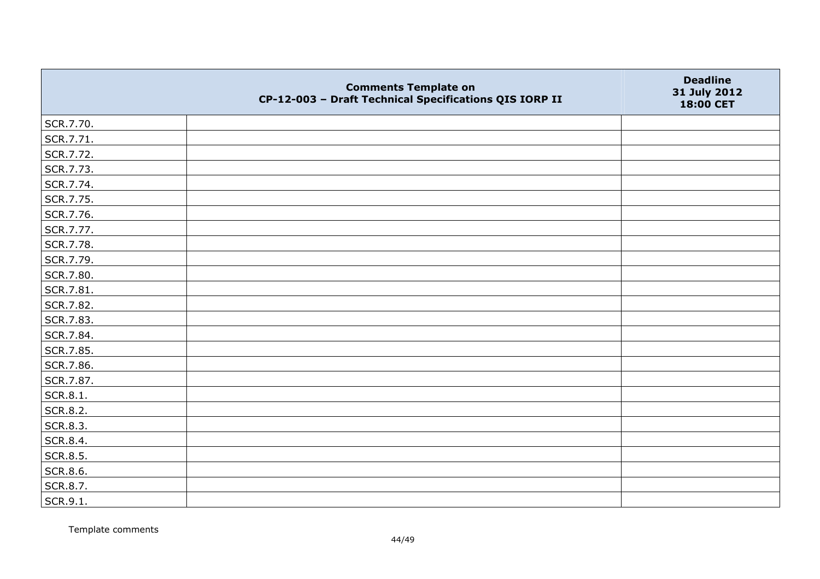|           | <b>Comments Template on</b><br>CP-12-003 - Draft Technical Specifications QIS IORP II | <b>Deadline</b><br>31 July 2012<br>18:00 CET |
|-----------|---------------------------------------------------------------------------------------|----------------------------------------------|
| SCR.7.70. |                                                                                       |                                              |
| SCR.7.71. |                                                                                       |                                              |
| SCR.7.72. |                                                                                       |                                              |
| SCR.7.73. |                                                                                       |                                              |
| SCR.7.74. |                                                                                       |                                              |
| SCR.7.75. |                                                                                       |                                              |
| SCR.7.76. |                                                                                       |                                              |
| SCR.7.77. |                                                                                       |                                              |
| SCR.7.78. |                                                                                       |                                              |
| SCR.7.79. |                                                                                       |                                              |
| SCR.7.80. |                                                                                       |                                              |
| SCR.7.81. |                                                                                       |                                              |
| SCR.7.82. |                                                                                       |                                              |
| SCR.7.83. |                                                                                       |                                              |
| SCR.7.84. |                                                                                       |                                              |
| SCR.7.85. |                                                                                       |                                              |
| SCR.7.86. |                                                                                       |                                              |
| SCR.7.87. |                                                                                       |                                              |
| SCR.8.1.  |                                                                                       |                                              |
| SCR.8.2.  |                                                                                       |                                              |
| SCR.8.3.  |                                                                                       |                                              |
| SCR.8.4.  |                                                                                       |                                              |
| SCR.8.5.  |                                                                                       |                                              |
| SCR.8.6.  |                                                                                       |                                              |
| SCR.8.7.  |                                                                                       |                                              |
| SCR.9.1.  |                                                                                       |                                              |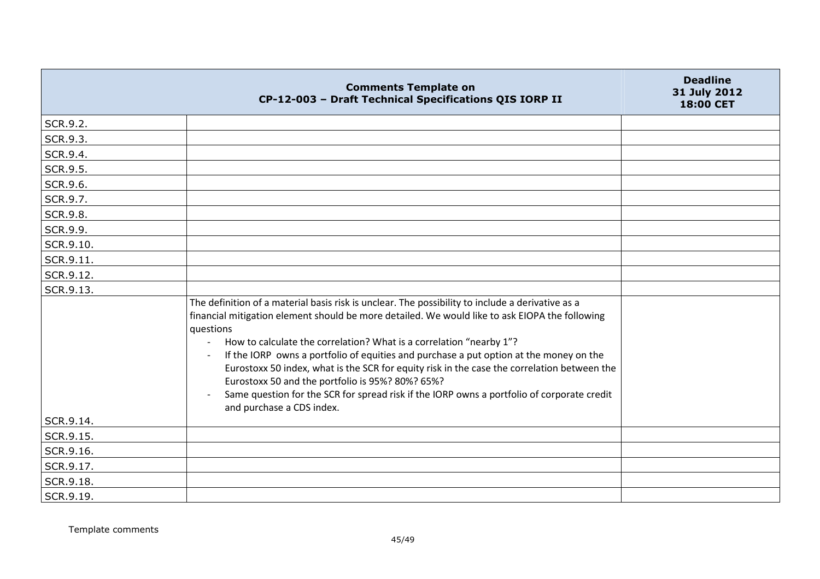|           | <b>Comments Template on</b><br>CP-12-003 - Draft Technical Specifications QIS IORP II                                                                                                                                                                                                                                                                                                                                                                                                                                                                                                                                                                          | <b>Deadline</b><br>31 July 2012<br>18:00 CET |
|-----------|----------------------------------------------------------------------------------------------------------------------------------------------------------------------------------------------------------------------------------------------------------------------------------------------------------------------------------------------------------------------------------------------------------------------------------------------------------------------------------------------------------------------------------------------------------------------------------------------------------------------------------------------------------------|----------------------------------------------|
| SCR.9.2.  |                                                                                                                                                                                                                                                                                                                                                                                                                                                                                                                                                                                                                                                                |                                              |
| SCR.9.3.  |                                                                                                                                                                                                                                                                                                                                                                                                                                                                                                                                                                                                                                                                |                                              |
| SCR.9.4.  |                                                                                                                                                                                                                                                                                                                                                                                                                                                                                                                                                                                                                                                                |                                              |
| SCR.9.5.  |                                                                                                                                                                                                                                                                                                                                                                                                                                                                                                                                                                                                                                                                |                                              |
| SCR.9.6.  |                                                                                                                                                                                                                                                                                                                                                                                                                                                                                                                                                                                                                                                                |                                              |
| SCR.9.7.  |                                                                                                                                                                                                                                                                                                                                                                                                                                                                                                                                                                                                                                                                |                                              |
| SCR.9.8.  |                                                                                                                                                                                                                                                                                                                                                                                                                                                                                                                                                                                                                                                                |                                              |
| SCR.9.9.  |                                                                                                                                                                                                                                                                                                                                                                                                                                                                                                                                                                                                                                                                |                                              |
| SCR.9.10. |                                                                                                                                                                                                                                                                                                                                                                                                                                                                                                                                                                                                                                                                |                                              |
| SCR.9.11. |                                                                                                                                                                                                                                                                                                                                                                                                                                                                                                                                                                                                                                                                |                                              |
| SCR.9.12. |                                                                                                                                                                                                                                                                                                                                                                                                                                                                                                                                                                                                                                                                |                                              |
| SCR.9.13. |                                                                                                                                                                                                                                                                                                                                                                                                                                                                                                                                                                                                                                                                |                                              |
|           | The definition of a material basis risk is unclear. The possibility to include a derivative as a<br>financial mitigation element should be more detailed. We would like to ask EIOPA the following<br>questions<br>How to calculate the correlation? What is a correlation "nearby 1"?<br>If the IORP owns a portfolio of equities and purchase a put option at the money on the<br>Eurostoxx 50 index, what is the SCR for equity risk in the case the correlation between the<br>Eurostoxx 50 and the portfolio is 95%? 80%? 65%?<br>Same question for the SCR for spread risk if the IORP owns a portfolio of corporate credit<br>and purchase a CDS index. |                                              |
| SCR.9.14. |                                                                                                                                                                                                                                                                                                                                                                                                                                                                                                                                                                                                                                                                |                                              |
| SCR.9.15. |                                                                                                                                                                                                                                                                                                                                                                                                                                                                                                                                                                                                                                                                |                                              |
| SCR.9.16. |                                                                                                                                                                                                                                                                                                                                                                                                                                                                                                                                                                                                                                                                |                                              |
| SCR.9.17. |                                                                                                                                                                                                                                                                                                                                                                                                                                                                                                                                                                                                                                                                |                                              |
| SCR.9.18. |                                                                                                                                                                                                                                                                                                                                                                                                                                                                                                                                                                                                                                                                |                                              |
| SCR.9.19. |                                                                                                                                                                                                                                                                                                                                                                                                                                                                                                                                                                                                                                                                |                                              |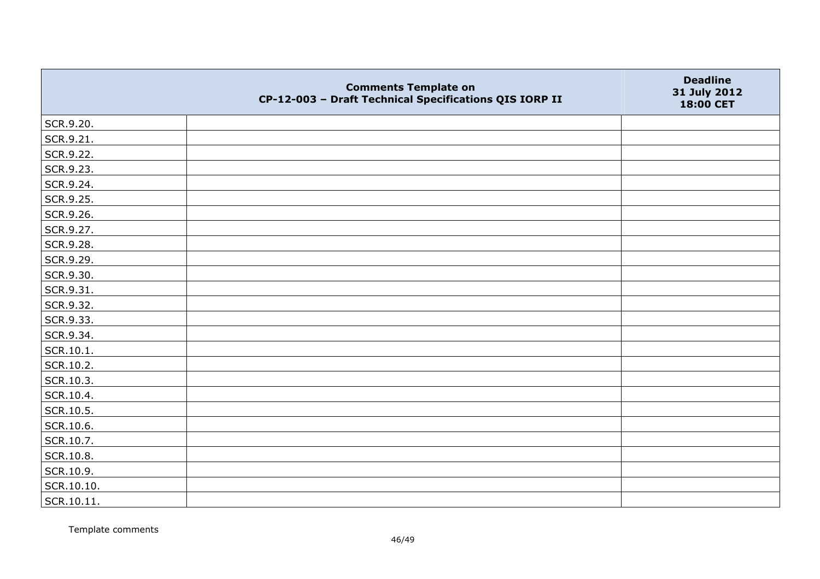|            | <b>Comments Template on</b><br>CP-12-003 - Draft Technical Specifications QIS IORP II | <b>Deadline</b><br>31 July 2012<br>18:00 CET |
|------------|---------------------------------------------------------------------------------------|----------------------------------------------|
| SCR.9.20.  |                                                                                       |                                              |
| SCR.9.21.  |                                                                                       |                                              |
| SCR.9.22.  |                                                                                       |                                              |
| SCR.9.23.  |                                                                                       |                                              |
| SCR.9.24.  |                                                                                       |                                              |
| SCR.9.25.  |                                                                                       |                                              |
| SCR.9.26.  |                                                                                       |                                              |
| SCR.9.27.  |                                                                                       |                                              |
| SCR.9.28.  |                                                                                       |                                              |
| SCR.9.29.  |                                                                                       |                                              |
| SCR.9.30.  |                                                                                       |                                              |
| SCR.9.31.  |                                                                                       |                                              |
| SCR.9.32.  |                                                                                       |                                              |
| SCR.9.33.  |                                                                                       |                                              |
| SCR.9.34.  |                                                                                       |                                              |
| SCR.10.1.  |                                                                                       |                                              |
| SCR.10.2.  |                                                                                       |                                              |
| SCR.10.3.  |                                                                                       |                                              |
| SCR.10.4.  |                                                                                       |                                              |
| SCR.10.5.  |                                                                                       |                                              |
| SCR.10.6.  |                                                                                       |                                              |
| SCR.10.7.  |                                                                                       |                                              |
| SCR.10.8.  |                                                                                       |                                              |
| SCR.10.9.  |                                                                                       |                                              |
| SCR.10.10. |                                                                                       |                                              |
| SCR.10.11. |                                                                                       |                                              |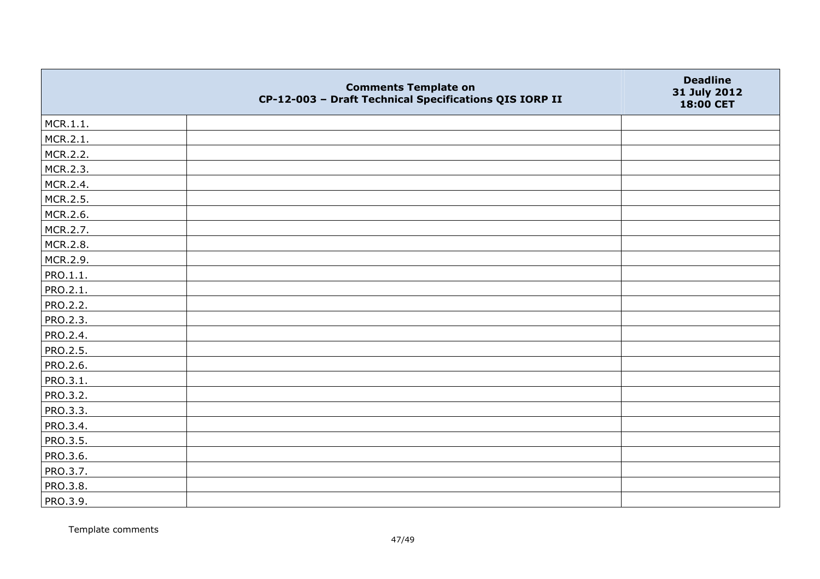|                 | <b>Comments Template on</b><br>CP-12-003 - Draft Technical Specifications QIS IORP II | <b>Deadline</b><br>31 July 2012<br>18:00 CET |
|-----------------|---------------------------------------------------------------------------------------|----------------------------------------------|
| MCR.1.1.        |                                                                                       |                                              |
| MCR.2.1.        |                                                                                       |                                              |
| MCR.2.2.        |                                                                                       |                                              |
| MCR.2.3.        |                                                                                       |                                              |
| MCR.2.4.        |                                                                                       |                                              |
| MCR.2.5.        |                                                                                       |                                              |
| MCR.2.6.        |                                                                                       |                                              |
| MCR.2.7.        |                                                                                       |                                              |
| MCR.2.8.        |                                                                                       |                                              |
| MCR.2.9.        |                                                                                       |                                              |
| PRO.1.1.        |                                                                                       |                                              |
| PRO.2.1.        |                                                                                       |                                              |
| <b>PRO.2.2.</b> |                                                                                       |                                              |
| PRO.2.3.        |                                                                                       |                                              |
| PRO.2.4.        |                                                                                       |                                              |
| PRO.2.5.        |                                                                                       |                                              |
| <b>PRO.2.6.</b> |                                                                                       |                                              |
| PRO.3.1.        |                                                                                       |                                              |
| PRO.3.2.        |                                                                                       |                                              |
| PRO.3.3.        |                                                                                       |                                              |
| PRO.3.4.        |                                                                                       |                                              |
| <b>PRO.3.5.</b> |                                                                                       |                                              |
| PRO.3.6.        |                                                                                       |                                              |
| PRO.3.7.        |                                                                                       |                                              |
| PRO.3.8.        |                                                                                       |                                              |
| PRO.3.9.        |                                                                                       |                                              |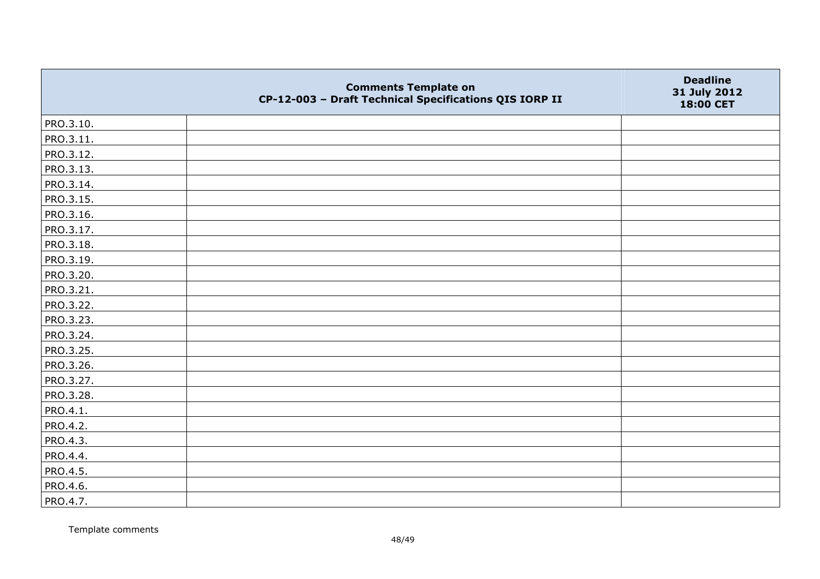|           | <b>Comments Template on</b><br>CP-12-003 - Draft Technical Specifications QIS IORP II | <b>Deadline</b><br>31 July 2012<br>18:00 CET |
|-----------|---------------------------------------------------------------------------------------|----------------------------------------------|
| PRO.3.10. |                                                                                       |                                              |
| PRO.3.11. |                                                                                       |                                              |
| PRO.3.12. |                                                                                       |                                              |
| PRO.3.13. |                                                                                       |                                              |
| PRO.3.14. |                                                                                       |                                              |
| PRO.3.15. |                                                                                       |                                              |
| PRO.3.16. |                                                                                       |                                              |
| PRO.3.17. |                                                                                       |                                              |
| PRO.3.18. |                                                                                       |                                              |
| PRO.3.19. |                                                                                       |                                              |
| PRO.3.20. |                                                                                       |                                              |
| PRO.3.21. |                                                                                       |                                              |
| PRO.3.22. |                                                                                       |                                              |
| PRO.3.23. |                                                                                       |                                              |
| PRO.3.24. |                                                                                       |                                              |
| PRO.3.25. |                                                                                       |                                              |
| PRO.3.26. |                                                                                       |                                              |
| PRO.3.27. |                                                                                       |                                              |
| PRO.3.28. |                                                                                       |                                              |
| PRO.4.1.  |                                                                                       |                                              |
| PRO.4.2.  |                                                                                       |                                              |
| PRO.4.3.  |                                                                                       |                                              |
| PRO.4.4.  |                                                                                       |                                              |
| PRO.4.5.  |                                                                                       |                                              |
| PRO.4.6.  |                                                                                       |                                              |
| PRO.4.7.  |                                                                                       |                                              |